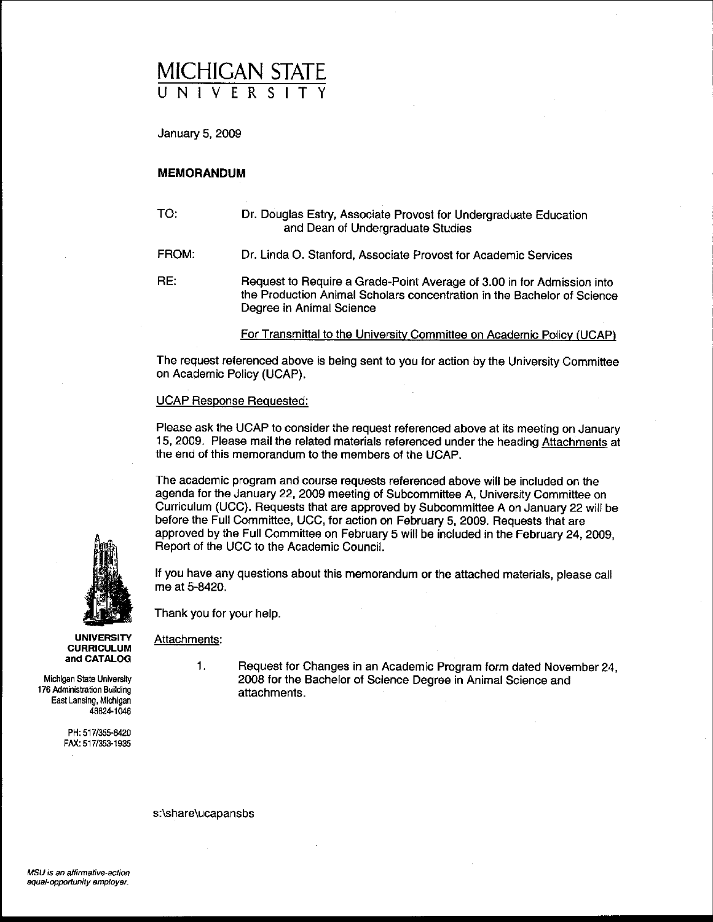## **MICHIGAN STATE** UNIVERSITY

January 5, 2009

### **MEMORANDUM**

TO: Dr. Douglas Estry. Associate Provost for Undergraduate Education and Dean of Undergraduate Studies

FROM: Dr. Linda O. Stanford. Associate Provost for Academic Services

RE: Request to Require a Grade-Point Average of 3.00 in for Admission into the Production Animal Scholars concentration in the Bachelor of Science Degree in Animai Science

For Transmittal to the Universitv Committee on Academic Polley (UCAP)

The request referenced above is being sent to you for action by the University Committee on Academic Policy (UCAP).

#### UCAP Response Requested:

Please ask the UCAP to consider the request referenced above at its meeting on January 15.2009. Please mail the related materials referenced under the heading Attachments at the end of this memorandum to the members of the UCAP.

The academic proqram and course requests referenced above will be included on the agenda for the January 22. 2009 meeting of Subcommittee A, University Committee on Curriculum (UCC). Requests that are approved by Subcommittee A on January 22 will be before the Full Committee. UCC. for action on February 5. 2009. Requests that are approved by the Full Committee on February 5 will be included in the February 24. 2009. Report of the UCC to the Academic Council.

**If** you have any questions about this memorandum or the attached materials, please call me at 5-8420.

Thank you for your help.

Attachments:

1. Request for Changes in an Academic Program form dated November 24. 2008 for the Bacheior of Science Degree in Animal Science and attachments.

s:\share\ucapansbs

**UNIVERSITY CURRICULUM** and CATALOG

**Michigan State University 176 Administration Building East Lansing, Michigan** 48824·1046

> PH: *5171355·8420* FAX: 5171353-1935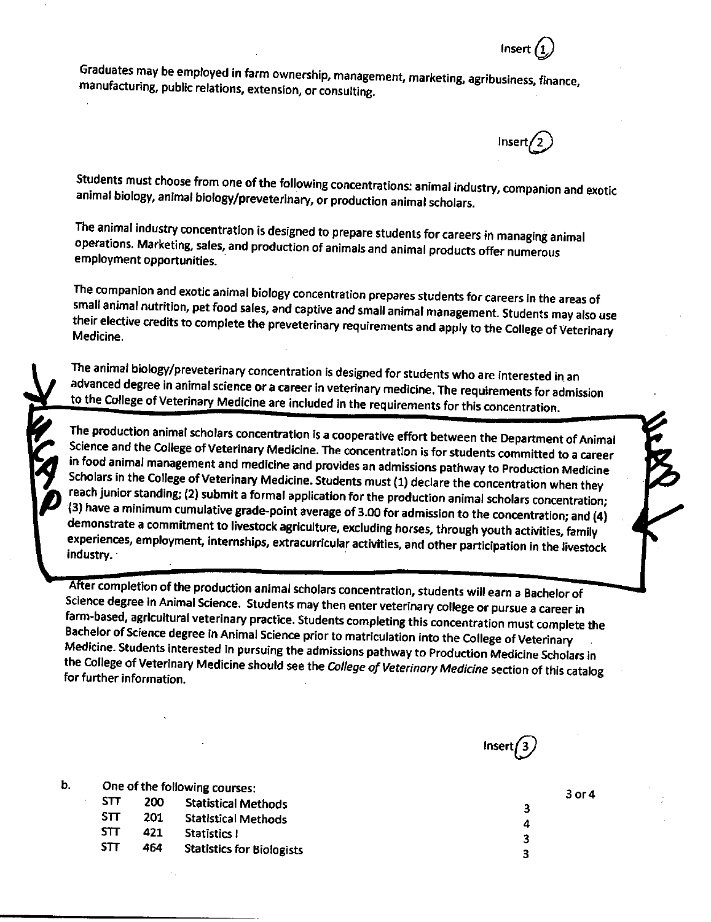Graduates may be employed in farm ownership, management, marketing, agribusiness, finance, manufacturing, public relations, extension, or consulting.

Students must choose from one of the following concentrations: animal industry, companion and exotic animal biology, animal biology/preveterinary, or production animal scholars.

The animal industry concentration is designed to prepare students for careers in managing animal operations. Marketing, sales, and production of animals and animal products offer numerous employment opportunities.

The companion and exotic animal biology concentration prepares students for careers in the areas of small animal nutrition, pet food sales, and captive and small animal management. Students may also use their elective credits to complete the preveterinary requirements and apply to the College of Veterinary Medicine.

The animal biology/preveterinary concentration is designed for students who are interested in an advanced degree in animal science or a career in veterinary medicine. The requirements for admission to the College of Veterinary Medicine are included in the requirements for this concentration.

The production animal scholars concentration is a cooperative effort between the Department of Animal Science and the College of Veterinary Medicine. The concentration is for students committed to a career in food animal management and medicine and provides an admissions pathway to Production Medicine Scholars in the College of Veterinary Medicine. Students must (1) declare the concentration when they reach junior standing; (2) submit a formal application for the production animal scholars concentration; (3) have a minimum cumulative grade-point average of 3.00 for admission to the concentration; and (4) demonstrate a commitment to livestock agriculture, excluding horses, through youth activities, family experiences, employment, internships, extracurricular activities, and other participation in the livestock industry.

After completion of the production animal scholars concentration, students will earn a Bachelor of Science degree in Animal Science. Students may then enter veterinary college or pursue a career in farm-based, agricultural veterinary practice. Students completing this concentration must complete the Bachelor of Science degree in Animal Science prior to matriculation into the College of Veterinary Medicine. Students interested in pursuing the admissions pathway to Production Medicine Scholars in the College of Veterinary Medicine should see the College of Veterinary Medicine section of this catalog for further information.



3 4 3

 $\overline{\mathbf{3}}$ 

 $3$  or  $4$ 

Insert  $(1)$ 

Insert

|           |            |      | One of the following courses:                                                                                  |
|-----------|------------|------|----------------------------------------------------------------------------------------------------------------|
| $\bullet$ | <b>STT</b> | 200. | <b>Statistical Methods</b>                                                                                     |
|           | STT.       | 201  | <b>Statistical Methods</b>                                                                                     |
|           | <b>STT</b> | 421  | Statistics I                                                                                                   |
|           | c TT       |      | Charles County of the County of the County of the County of the County of the County of the County of the Coun |

 $\mathbf b$ .

**Statistics for Biologists**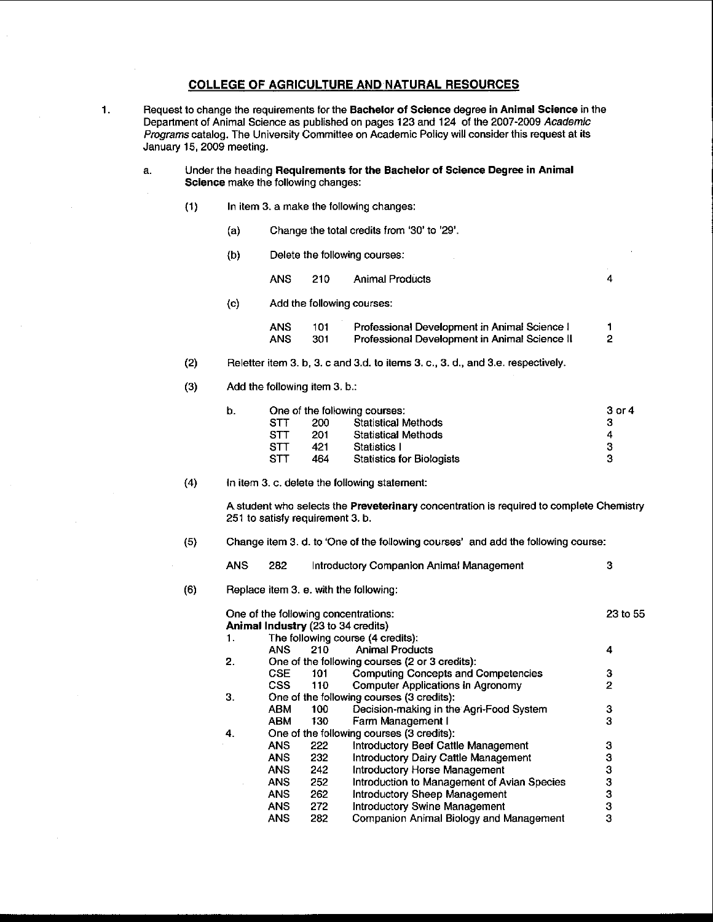### COLLEGE OF AGRICULTURE AND NATURAL RESOURCES

1. Request to change the requirements for the Bachelor of Science degree in Animal Science in the Department of Animal Science as published on pages 123 and 124 of the 2007·2009 Academic Programs catalog. The University Committee on Academic Policy will consider this request at its January 15, 2009 meeting.

- a. Under the heading Requirements for the Bachelor of Science Degree In Animal Science make the following changes:
	- (1) In item 3. a make the folloWing changes:
		- (a) Change the total credits from '30' to '29'.
		- (b) Delete the following courses:

ANS 210 Animal Products 4

(c) Add the folloWing courses:

| ANS | 101. | Professional Development in Animal Science I  |  |
|-----|------|-----------------------------------------------|--|
| ANS | 301  | Professional Development in Animal Science II |  |

- (2) Reletter item 3. b, 3. c and 3.d. to items 3. c., 3. d., and 3.e. respectively.
- (3) Add the folloWing item 3. b.:

| b. |            | One of the following courses: | 3 or 4                           |   |
|----|------------|-------------------------------|----------------------------------|---|
|    | STT        | 200                           | <b>Statistical Methods</b>       | з |
|    | STT        | 201                           | <b>Statistical Methods</b>       | 4 |
|    | <b>STT</b> | 421                           | Statistics I                     | з |
|    | STT        | 464                           | <b>Statistics for Biologists</b> | з |
|    |            |                               |                                  |   |

(4) In item 3. c. delete the following statement:

A student who selects the Preveterinary concentration is required to complete Chemistry 251 to satisfy requirement 3. b.

(5) Change item 3. d. to 'One of the following courses' and add the following course:

| <b>ANS</b> | - 282 | Introductory Companion Animal Management |  |
|------------|-------|------------------------------------------|--|
|------------|-------|------------------------------------------|--|

(6) Replace item 3. e. with the following:

|    |            |                                    | One of the following concentrations:           | 23 to 55 |
|----|------------|------------------------------------|------------------------------------------------|----------|
|    |            | Animal Industry (23 to 34 credits) |                                                |          |
| 1. |            |                                    | The following course (4 credits):              |          |
|    | ANS        | 210                                | <b>Animal Products</b>                         | 4        |
| 2. |            |                                    | One of the following courses (2 or 3 credits): |          |
|    | CSE.       | 101                                | <b>Computing Concepts and Competencies</b>     | з        |
|    | CSS.       | 110                                | Computer Applications in Agronomy              | 2        |
| З. |            |                                    | One of the following courses (3 credits):      |          |
|    | <b>ABM</b> | 100                                | Decision-making in the Agri-Food System        | 3        |
|    | <b>ABM</b> | 130                                | Farm Management I                              | 3        |
| 4. |            |                                    | One of the following courses (3 credits):      |          |
|    | <b>ANS</b> | 222                                | Introductory Beef Cattle Management            | 3        |
|    | <b>ANS</b> | 232                                | Introductory Dairy Cattle Management           | 3        |
|    | <b>ANS</b> | 242                                | Introductory Horse Management                  | 3        |
|    | <b>ANS</b> | 252                                | Introduction to Management of Avian Species    | 3        |
|    | ANS.       | 262                                | Introductory Sheep Management                  | 3        |
|    | <b>ANS</b> | 272                                | <b>Introductory Swine Management</b>           | 3        |
|    | <b>ANS</b> | 282                                | Companion Animal Biology and Management        | 3        |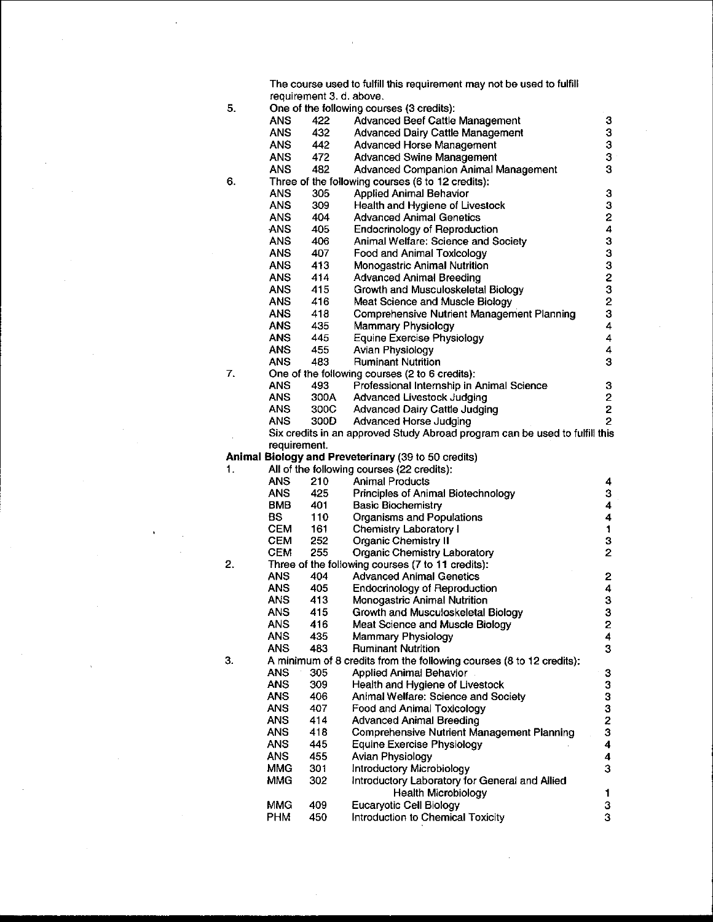The course used to fulfill this requirement may not be used to fulfill requirement 3. d. above.

 $\bar{\mathrm{t}}$ 

|    |                          | requirement of a apove. |                                                                             |                         |
|----|--------------------------|-------------------------|-----------------------------------------------------------------------------|-------------------------|
| 5. |                          |                         | One of the following courses (3 credits):                                   |                         |
|    | ANS                      | 422                     | <b>Advanced Beef Cattle Management</b>                                      | 3                       |
|    | <b>ANS</b>               | 432                     | Advanced Dairy Cattle Management                                            | 3                       |
|    | ANS                      | 442                     | <b>Advanced Horse Management</b>                                            | 3<br>3                  |
|    | <b>ANS</b>               | 472                     | <b>Advanced Swine Management</b>                                            |                         |
|    | <b>ANS</b>               | 482                     | Advanced Companion Animal Management                                        | 3                       |
| 6. |                          |                         | Three of the following courses (6 to 12 credits):                           |                         |
|    | <b>ANS</b>               | 305                     | <b>Applied Animal Behavior</b>                                              | 3                       |
|    | ANS                      | 309                     | Health and Hygiene of Livestock                                             | 3                       |
|    | ANS                      | 404                     | <b>Advanced Animal Genetics</b>                                             | $\overline{\mathbf{c}}$ |
|    | <b>ANS</b>               | 405                     | <b>Endocrinology of Reproduction</b>                                        | 4                       |
|    | <b>ANS</b>               | 406                     | Animal Welfare: Science and Society                                         | 3                       |
|    | <b>ANS</b>               | 407                     | Food and Animal Toxicology                                                  | 3                       |
|    | <b>ANS</b>               | 413                     | Monogastric Animal Nutrition                                                | 3                       |
|    | <b>ANS</b>               | 414                     | <b>Advanced Animal Breeding</b>                                             |                         |
|    | <b>ANS</b>               | 415                     | Growth and Musculoskeletal Biology                                          | 2<br>3                  |
|    | <b>ANS</b>               | 416                     | Meat Science and Muscle Biology                                             | $\overline{2}$          |
|    | <b>ANS</b>               | 418                     | Comprehensive Nutrient Management Planning                                  | 3                       |
|    | <b>ANS</b>               | 435                     | Mammary Physiology                                                          | 4                       |
|    | <b>ANS</b>               | 445                     | <b>Equine Exercise Physiology</b>                                           | 4                       |
|    | <b>ANS</b>               | 455                     | <b>Avian Physiology</b>                                                     | 4                       |
|    | <b>ANS</b>               | 483                     | <b>Ruminant Nutrition</b>                                                   | 3                       |
| 7. |                          |                         | One of the following courses (2 to 6 credits):                              |                         |
|    | <b>ANS</b>               | 493                     | Professional Internship in Animal Science                                   | 3                       |
|    | <b>ANS</b>               | 300A                    | Advanced Livestock Judging                                                  | 2                       |
|    | ANS.                     | 300C                    | <b>Advanced Dairy Cattle Judging</b>                                        | 2                       |
|    | <b>ANS</b>               | 300D                    | Advanced Horse Judging                                                      | 2                       |
|    |                          |                         | Six credits in an approved Study Abroad program can be used to fulfill this |                         |
|    | requirement.             |                         |                                                                             |                         |
|    |                          |                         | Animal Biology and Preveterinary (39 to 50 credits)                         |                         |
|    |                          |                         |                                                                             |                         |
| 1. |                          |                         |                                                                             |                         |
|    | ANS                      | 210                     | All of the following courses (22 credits):<br><b>Animal Products</b>        | 4                       |
|    | <b>ANS</b>               | 425                     | Principles of Animal Biotechnology                                          | 3                       |
|    | BMB                      | 401                     | <b>Basic Biochemistry</b>                                                   | 4                       |
|    | BS                       | 110                     | Organisms and Populations                                                   | 4                       |
|    | <b>CEM</b>               | 161                     | <b>Chemistry Laboratory I</b>                                               | 1                       |
|    | <b>CEM</b>               | 252                     | <b>Organic Chemistry II</b>                                                 | 3                       |
|    | <b>CEM</b>               | 255                     | Organic Chemistry Laboratory                                                | $\overline{2}$          |
| 2. |                          |                         | Three of the following courses (7 to 11 credits):                           |                         |
|    | <b>ANS</b>               | 404                     | <b>Advanced Animal Genetics</b>                                             | 2                       |
|    | <b>ANS</b>               | 405                     | <b>Endocrinology of Reproduction</b>                                        | 4                       |
|    | ANS.                     | 413                     | Monogastric Animal Nutrition                                                | 3                       |
|    | <b>ANS</b>               | 415                     | Growth and Musculoskeletal Biology                                          | 3                       |
|    | <b>ANS</b>               | 416                     | Meat Science and Muscle Biology                                             | 2                       |
|    | <b>ANS</b>               | 435                     | Mammary Physiology                                                          | 4                       |
|    | <b>ANS</b>               | 483                     | <b>Ruminant Nutrition</b>                                                   | 3                       |
| З. |                          |                         | A minimum of 8 credits from the following courses (8 to 12 credits):        |                         |
|    | ANS                      | 305                     | <b>Applied Animal Behavior</b>                                              | 3                       |
|    | <b>ANS</b>               | 309                     | Health and Hygiene of Livestock                                             | 3                       |
|    | <b>ANS</b>               | 406                     | Animal Welfare: Science and Society                                         | 3                       |
|    | <b>ANS</b>               | 407                     | Food and Animal Toxicology                                                  | 3                       |
|    | ANS.                     | 414                     | <b>Advanced Animal Breeding</b>                                             | $\overline{c}$          |
|    | ANS                      | 418                     | <b>Comprehensive Nutrient Management Planning</b>                           | 3                       |
|    | <b>ANS</b>               | 445                     | Equine Exercise Physiology                                                  | 4                       |
|    | <b>ANS</b>               | 455                     | Avian Physiology                                                            | 4                       |
|    | MMG                      | 301                     | Introductory Microbiology                                                   | 3                       |
|    | MMG                      | 302                     | Introductory Laboratory for General and Allied                              |                         |
|    |                          |                         | Health Microbiology                                                         | 1                       |
|    | <b>MMG</b><br><b>PHM</b> | 409                     | <b>Eucaryotic Cell Biology</b><br>Introduction to Chemical Toxicity         | 3<br>Ś.                 |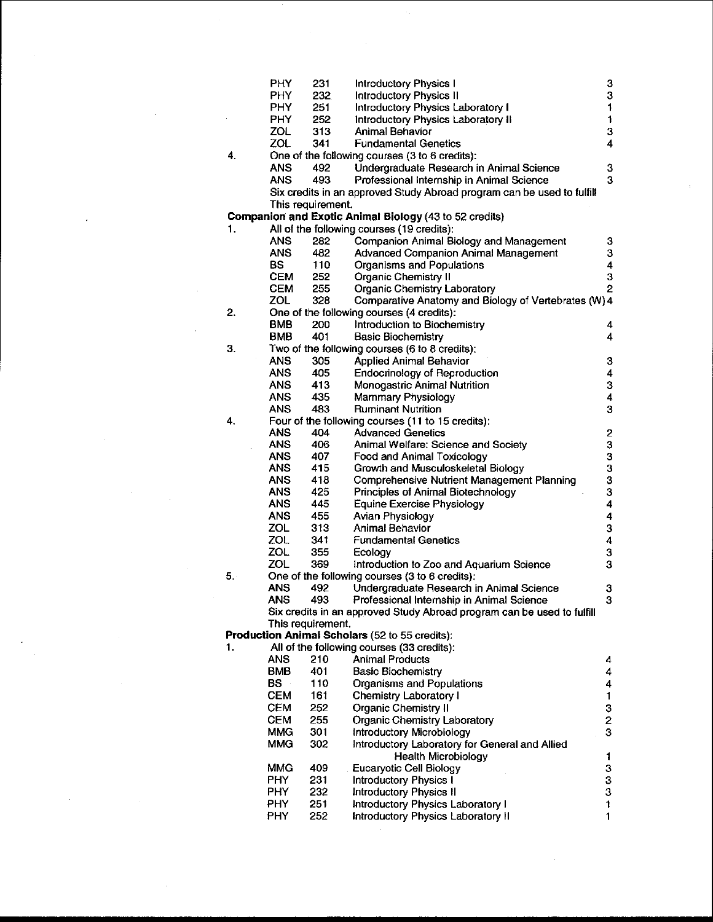|    | PHY        | 231               | <b>Introductory Physics I</b>                                          | 3                       |
|----|------------|-------------------|------------------------------------------------------------------------|-------------------------|
|    | <b>PHY</b> | 232               | <b>Introductory Physics II</b>                                         | 3                       |
|    | <b>PHY</b> | 251               | Introductory Physics Laboratory I                                      | $\mathbf{1}$            |
|    | <b>PHY</b> | 252               | Introductory Physics Laboratory II                                     | 1                       |
|    | ZOL        | 313               | Animal Behavior                                                        | 3                       |
|    | ZOL        | 341               | <b>Fundamental Genetics</b>                                            | 4                       |
| 4. |            |                   | One of the following courses (3 to 6 credits):                         |                         |
|    | <b>ANS</b> | 492               | Undergraduate Research in Animal Science                               | 3                       |
|    | <b>ANS</b> | 493               | Professional Internship in Animal Science                              | 3                       |
|    |            |                   | Six credits in an approved Study Abroad program can be used to fulfill |                         |
|    |            | This requirement. |                                                                        |                         |
|    |            |                   | <b>Companion and Exotic Animal Biology (43 to 52 credits)</b>          |                         |
| 1. |            |                   | All of the following courses (19 credits):                             |                         |
|    | <b>ANS</b> | 282               | Companion Animal Biology and Management                                | 3                       |
|    | <b>ANS</b> | 482               | Advanced Companion Animal Management                                   | 3                       |
|    | <b>BS</b>  | 110               | Organisms and Populations                                              | 4                       |
|    | <b>CEM</b> | 252               | <b>Organic Chemistry II</b>                                            | 3                       |
|    | <b>CEM</b> | 255               | <b>Organic Chemistry Laboratory</b>                                    | 2                       |
|    | ZOL.       | 328               | Comparative Anatomy and Biology of Vertebrates (W) 4                   |                         |
| 2. |            |                   | One of the following courses (4 credits):                              |                         |
|    | <b>BMB</b> | 200               | Introduction to Biochemistry                                           | 4                       |
|    | <b>BMB</b> | 401               | <b>Basic Biochemistry</b>                                              | 4                       |
| 3. |            |                   | Two of the following courses (6 to 8 credits):                         |                         |
|    | <b>ANS</b> | 305               | <b>Applied Animal Behavior</b>                                         | $\mathbf 3$             |
|    | <b>ANS</b> | 405               | Endocrinology of Reproduction                                          | 4                       |
|    | <b>ANS</b> | 413               | Monogastric Animal Nutrition                                           | 3                       |
|    | <b>ANS</b> | 435               | Mammary Physiology                                                     | $\overline{\mathbf{4}}$ |
|    | <b>ANS</b> | 483               | <b>Ruminant Nutrition</b>                                              | 3                       |
| 4. |            |                   | Four of the following courses (11 to 15 credits):                      |                         |
|    | <b>ANS</b> | 404               | <b>Advanced Genetics</b>                                               | $\mathbf{2}$            |
|    | <b>ANS</b> | 406               | Animal Welfare: Science and Society                                    | 3                       |
|    | <b>ANS</b> | 407               | Food and Animal Toxicology                                             | 3                       |
|    | <b>ANS</b> | 415               | Growth and Musculoskeletal Biology                                     | 3                       |
|    | <b>ANS</b> | 418               | <b>Comprehensive Nutrient Management Planning</b>                      | 3                       |
|    | <b>ANS</b> | 425               | Principles of Animal Biotechnology                                     | 3                       |
|    | <b>ANS</b> | 445               | Equine Exercise Physiology                                             | 4                       |
|    | <b>ANS</b> | 455               | Avian Physiology                                                       | $\overline{\mathbf{4}}$ |
|    | ZOL        | 313               | <b>Animal Behavior</b>                                                 | 3                       |
|    | ZOL        | 341               | <b>Fundamental Genetics</b>                                            | $\boldsymbol{4}$        |
|    | ZOL        | 355               | Ecology                                                                | $\bf 3$                 |
|    | ZOL        | 369               | Introduction to Zoo and Aquarium Science                               | 3                       |
| 5. |            |                   | One of the following courses (3 to 6 credits):                         |                         |
|    | ANS        | 492               | Undergraduate Research in Animal Science                               | 3                       |
|    | ANS        | 493               | Professional Internship in Animal Science                              | 3.                      |
|    |            |                   | Six credits in an approved Study Abroad program can be used to fulfill |                         |
|    |            | This requirement. |                                                                        |                         |
|    |            |                   | Production Animal Scholars (52 to 55 credits):                         |                         |
| 1. |            |                   | All of the following courses (33 credits):                             |                         |
|    | <b>ANS</b> | 210               | <b>Animal Products</b>                                                 | 4                       |
|    | BMB        | 401               | <b>Basic Biochemistry</b>                                              | 4                       |
|    | BS -       | 110               | Organisms and Populations                                              | $\boldsymbol{4}$        |
|    | CEM        | 161               | Chemistry Laboratory I                                                 | $\mathbf{1}$            |
|    | <b>CEM</b> | 252               | <b>Organic Chemistry II</b>                                            |                         |
|    | <b>CEM</b> | 255               | <b>Organic Chemistry Laboratory</b>                                    | $\frac{3}{2}$           |
|    | <b>MMG</b> | 301               | Introductory Microbiology                                              | 3                       |
|    | <b>MMG</b> | 302               | Introductory Laboratory for General and Allied                         |                         |
|    |            |                   | <b>Health Microbiology</b>                                             | 1                       |
|    | MMG        | 409               | Eucaryotic Cell Biology                                                | 3                       |
|    | <b>PHY</b> | 231               | <b>Introductory Physics I</b>                                          | 3                       |
|    | <b>PHY</b> | 232               | <b>Introductory Physics II</b>                                         | 3                       |
|    | PHY.       | 251               | Introductory Physics Laboratory I                                      | $\ddagger$              |
|    | PHY        | 252               | Introductory Physics Laboratory II                                     | 1                       |
|    |            |                   |                                                                        |                         |

 $\frac{1}{2} \frac{1}{2} \frac{1}{2}$ 

 $\label{eq:2.1} \frac{1}{\sqrt{2\pi}}\sum_{i=1}^n\frac{1}{\sqrt{2\pi}}\sum_{i=1}^n\frac{1}{\sqrt{2\pi}}\sum_{i=1}^n\frac{1}{\sqrt{2\pi}}\sum_{i=1}^n\frac{1}{\sqrt{2\pi}}\sum_{i=1}^n\frac{1}{\sqrt{2\pi}}\sum_{i=1}^n\frac{1}{\sqrt{2\pi}}\sum_{i=1}^n\frac{1}{\sqrt{2\pi}}\sum_{i=1}^n\frac{1}{\sqrt{2\pi}}\sum_{i=1}^n\frac{1}{\sqrt{2\pi}}\sum_{i=1}^n\$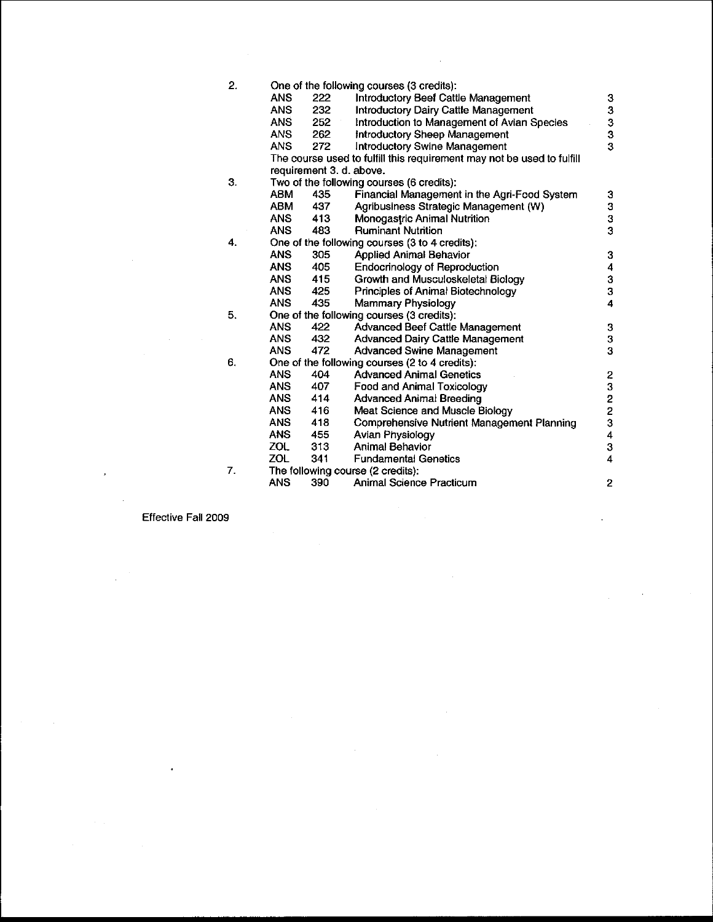| 2. |            |         | One of the following courses (3 credits):                              |                         |
|----|------------|---------|------------------------------------------------------------------------|-------------------------|
|    | <b>ANS</b> | 222     | Introductory Beef Cattle Management                                    | 3                       |
|    | ANS        | 232     | <b>Introductory Dairy Cattle Management</b>                            | 3                       |
|    | <b>ANS</b> | $252 -$ | Introduction to Management of Avian Species                            |                         |
|    | <b>ANS</b> | 262     | Introductory Sheep Management                                          | 3<br>3                  |
|    | ANS.       | 272     | Introductory Swine Management                                          | 3                       |
|    |            |         | The course used to fulfill this requirement may not be used to fulfill |                         |
|    |            |         | requirement 3. d. above.                                               |                         |
| 3. |            |         | Two of the following courses (6 credits):                              |                         |
|    | ABM        | 435     | Financial Management in the Agri-Food System                           | 3                       |
|    | ABM        | 437     | Agribusiness Strategic Management (W)                                  | 3                       |
|    | <b>ANS</b> | 413     | Monogastric Animal Nutrition                                           | 3                       |
|    | ANS.       | 483     | <b>Ruminant Nutrition</b>                                              | 3                       |
| 4. |            |         | One of the following courses (3 to 4 credits):                         |                         |
|    | <b>ANS</b> | 305     | <b>Applied Animal Behavior</b>                                         | 3                       |
|    | ANS.       | 405     | <b>Endocrinology of Reproduction</b>                                   | 4                       |
|    | ANS.       | 415     | Growth and Musculoskeletal Biology                                     | 3                       |
|    | <b>ANS</b> | 425     | Principles of Animal Biotechnology                                     | 3                       |
|    | ANS        | 435     | Mammary Physiology                                                     | $\overline{\mathbf{4}}$ |
| 5. |            |         | One of the following courses (3 credits):                              |                         |
|    | <b>ANS</b> | 422     | Advanced Beef Cattle Management                                        | 3                       |
|    | ANS        | 432     | <b>Advanced Dairy Cattle Management</b>                                | $\frac{3}{3}$           |
|    | <b>ANS</b> | 472     | <b>Advanced Swine Management</b>                                       |                         |
| 6. |            |         | One of the following courses (2 to 4 credits):                         |                         |
|    | <b>ANS</b> | 404     | <b>Advanced Animal Genetics</b>                                        |                         |
|    | <b>ANS</b> | 407     | Food and Animal Toxicology                                             | 23223                   |
|    | ANS        | 414     | <b>Advanced Animal Breeding</b>                                        |                         |
|    | <b>ANS</b> | 416     | Meat Science and Muscle Biology                                        |                         |
|    | <b>ANS</b> | 418     | Comprehensive Nutrient Management Planning                             |                         |
|    | <b>ANS</b> | 455     | <b>Avian Physiology</b>                                                | $\ddot{4}$              |
|    | ZOL        | 313     | <b>Animal Behavior</b>                                                 | 3                       |
|    | ZOL        | 341     | <b>Fundamental Genetics</b>                                            | $\overline{\mathbf{4}}$ |
| 7. |            |         | The following course (2 credits):                                      |                         |
|    | ANS        | 390     | Animal Science Practicum                                               | $\overline{c}$          |

Effective Fall 2009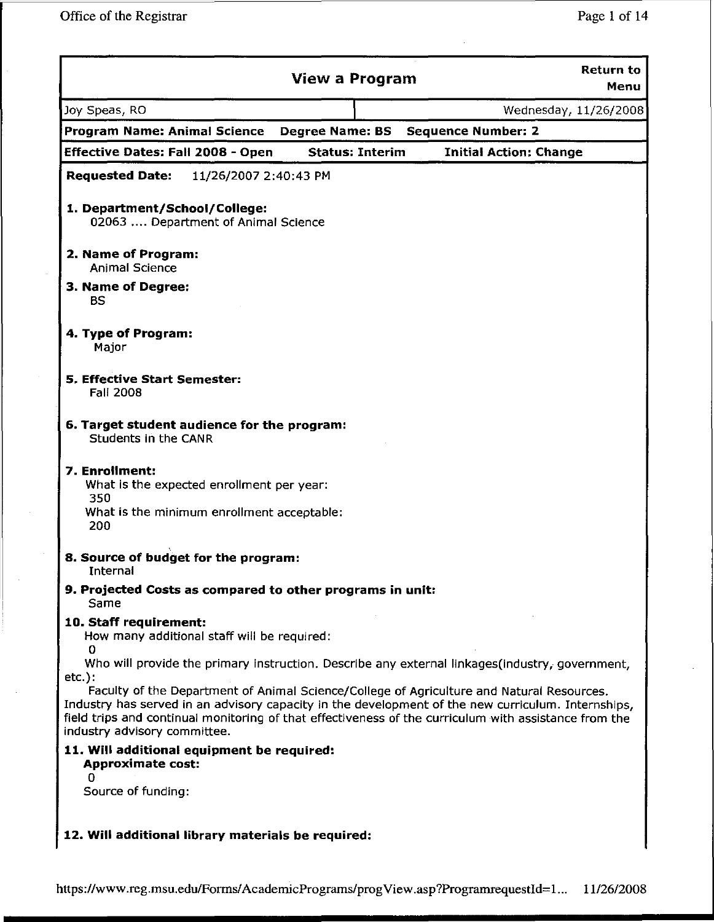|                                                                            | <b>View a Program</b>  | <b>Return to</b><br>Menu                                                                                                                                                                                                                                                                                 |
|----------------------------------------------------------------------------|------------------------|----------------------------------------------------------------------------------------------------------------------------------------------------------------------------------------------------------------------------------------------------------------------------------------------------------|
| Joy Speas, RO                                                              |                        | Wednesday, 11/26/2008                                                                                                                                                                                                                                                                                    |
| <b>Program Name: Animal Science</b>                                        | <b>Degree Name: BS</b> | <b>Sequence Number: 2</b>                                                                                                                                                                                                                                                                                |
| <b>Effective Dates: Fall 2008 - Open</b>                                   | <b>Status: Interim</b> | <b>Initial Action: Change</b>                                                                                                                                                                                                                                                                            |
| <b>Requested Date:</b><br>11/26/2007 2:40:43 PM                            |                        |                                                                                                                                                                                                                                                                                                          |
| 1. Department/School/College:<br>02063  Department of Animal Science       |                        |                                                                                                                                                                                                                                                                                                          |
| 2. Name of Program:<br><b>Animal Science</b>                               |                        |                                                                                                                                                                                                                                                                                                          |
| 3. Name of Degree:<br><b>BS</b>                                            |                        |                                                                                                                                                                                                                                                                                                          |
| 4. Type of Program:<br>Major                                               |                        |                                                                                                                                                                                                                                                                                                          |
| <b>5. Effective Start Semester:</b><br>Fall 2008                           |                        |                                                                                                                                                                                                                                                                                                          |
| 6. Target student audience for the program:<br>Students in the CANR        |                        |                                                                                                                                                                                                                                                                                                          |
| 7. Enrollment:<br>What is the expected enrollment per year:<br>350         |                        |                                                                                                                                                                                                                                                                                                          |
| What is the minimum enrollment acceptable:<br>200                          |                        |                                                                                                                                                                                                                                                                                                          |
| 8. Source of budget for the program:<br>Internal                           |                        |                                                                                                                                                                                                                                                                                                          |
| 9. Projected Costs as compared to other programs in unit:<br>Same          |                        |                                                                                                                                                                                                                                                                                                          |
| 10. Staff requirement:<br>How many additional staff will be required:<br>O |                        |                                                                                                                                                                                                                                                                                                          |
| $etc.$ ):                                                                  |                        | Who will provide the primary instruction. Describe any external linkages (industry, government,                                                                                                                                                                                                          |
| industry advisory committee.                                               |                        | Faculty of the Department of Animal Science/College of Agriculture and Natural Resources.<br>Industry has served in an advisory capacity in the development of the new curriculum. Internships,<br>field trips and continual monitoring of that effectiveness of the curriculum with assistance from the |
| 11. Will additional equipment be required:<br><b>Approximate cost:</b>     |                        |                                                                                                                                                                                                                                                                                                          |
| o<br>Source of funding:                                                    |                        |                                                                                                                                                                                                                                                                                                          |
| 12. Will additional library materials be required:                         |                        |                                                                                                                                                                                                                                                                                                          |

https://www.reg.msu.edu/Forms/AcademicPrograms/progView.asp?ProgramrequestId=1... 11/26/2008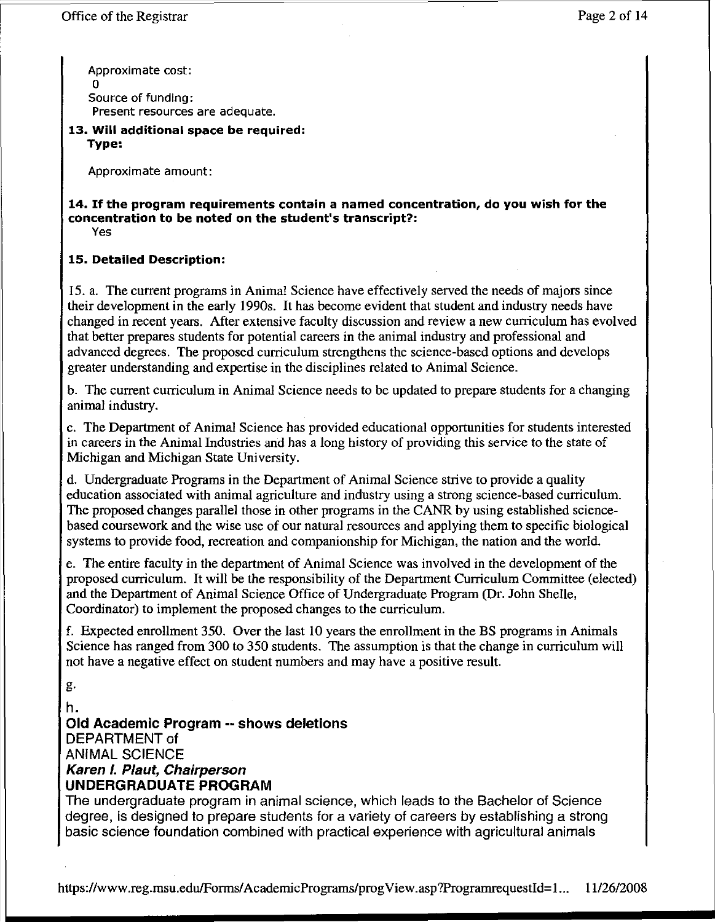Approximate cost: o Source of funding: Present resources are adequate.

**13. Will additional space be required: Type:**

Approximate amount:

#### **14. If the program requirements contain a named concentration, do you wish for the concentration to be noted on the student's transcript?:** Yes

### **15. Detailed Description:**

15. a. The current programs in Animal Science have effectively served the needs of majors since their development in the early 1990s. It has become evident that student and industry needs have changed in recent years. After extensive faculty discussion and review a new curriculum has evolved that better prepares students for potential careers in the animal industry and professional and advanced degrees. The proposed curriculum strengthens the science-based options and develops greater understanding and expertise in the disciplines related to Animal Science.

b. The current curriculum in Animal Science needs to be updated to prepare students for a changing animal industry.

c. The Department of Animal Science has provided educational opportunities for students interested in careers in the Animal Industries and has a long history of providing this service to the state of Michigan and Michigan State University.

d. Undergraduate Programs in the Department of Animal Science strive to provide a quality education associated with animal agriculture and industry using a strong science-based curriculum. The proposed changes parallel those in other programs in the CANR by using established sciencebased coursework and the wise use of our natural resources and applying them to specific biological systems to provide food, recreation and companionship for Michigan, the nation and the world.

e. The entire faculty in the department of Animal Science was involved in the development of the proposed curriculum. It will be the responsibility of the Department Curriculum Committee (elected) and the Department of Animal Science Office of Undergraduate Program (Dr. John Shelle, Coordinator) to implement the proposed changes to the curriculum.

f. Expected enrollment 350. Over the last 10 years the enrollment in the BS programs in Animals Science has ranged from 300 to 350 students. The assumption is that the change in curriculum will not have a negative effect on student numbers and may have a positive result.

g.

h. **Old Academic Program -- shows deletions** DEPARTMENT of ANIMAL SCIENCE **Karen I. Plaut, Chairperson** UNDERGRADUATE PROGRAM

The undergraduate program in animal science, which leads to the Bachelor of Science degree, is designed to prepare students for a variety of careers by establishing a strong basic science foundation combined with practical experience with agricultural animals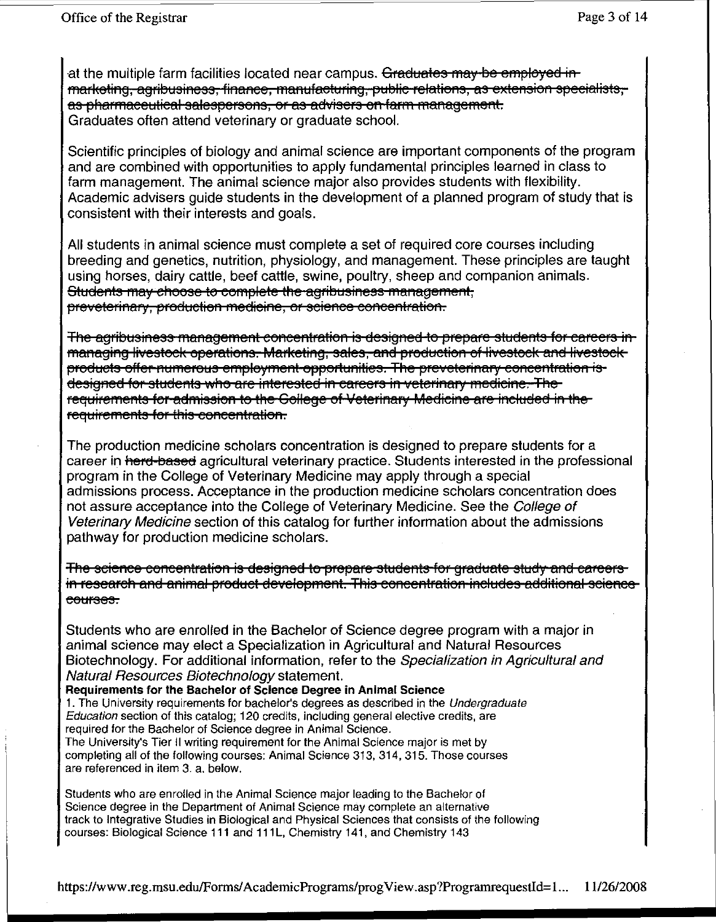at the multiple farm facilities located near campus. Graduates may be employed in marketing, agribusiness, finance, manufacturing, public relations, as extension specialists, as pharmaceutical salespersons, or as advisers on farm management. Graduates often attend veterinary or graduate school.

Scientific principles of biology and animal science are important components of the program and are combined with opportunities to apply fundamental principles learned in class to farm management. The animal science major also provides students with flexibility. Academic advisers guide students in the development of a planned program of study that is consistent with their interests and goals.

All students in animal science must complete a set of required core courses including breeding and genetics, nutrition, physiology, and management. These principles are taught using horses, dairy cattle, beef cattle, swine, poultry, sheep and companion animals. Students may choose to complete the agribusiness management. preveterinary, production medicine, or science concentration.

<del>The agribusiness management concentration is designed to prepare students for careers in-</del> managing livestock operations. Marketing, sales, and production of livestock and livestock products offer numerous employment opportunities. The preveterinary concentration isdesigned for students who are interested in careers in veterinary medicine. The requirements for admission to the Gollege of Veterinary Medicine are included in the requirements for this concentration.

The production medicine scholars concentration is designed to prepare students for a career in herd-based agricultural veterinary practice. Students interested in the professional program in the College of Veterinary Medicine may apply through a special admissions process. Acceptance in the production medicine scholars concentration does not assure acceptance into the College of Veterinary Medicine. See the College of Veterinary Medicine section of this catalog for further information about the admissions pathway for production medicine scholars.

The science concentration is designed to prepare students for graduate study and careers in research and animal product development. This concentration includes additional sciencecourses.

Students who are enrolled in the Bachelor of Science degree program with a major in animal science may elect a Specialization in Agricultural and Natural Resources Biotechnology. For additional information, refer to the Specialization in Agricultural and Natural Resources Biotechnology statement.

Requirements for the Bachelor of Science Degree in Animal Science 1. The University requirements for bachelor's degrees as described in the Undergraduate Education section of this catalog; 120 credits, including general elective credits, are required for the Bachelor of Science degree in Animal Science. The University's Tier II writing requirement for the Animal Science major is met by completing all of the following courses: Animal Science 313, 314, 315. Those courses are referenced in item 3. a. below.

Students who are enrolled in the Animal Science major leading to the Bachelor of Science degree in the Department of Animal Science may complete an alternative track to Integrative Studies in Biological and Physical Sciences that consists of the following courses: Biological Science 111 and 111L, Chemistry 141, and Chemistry 143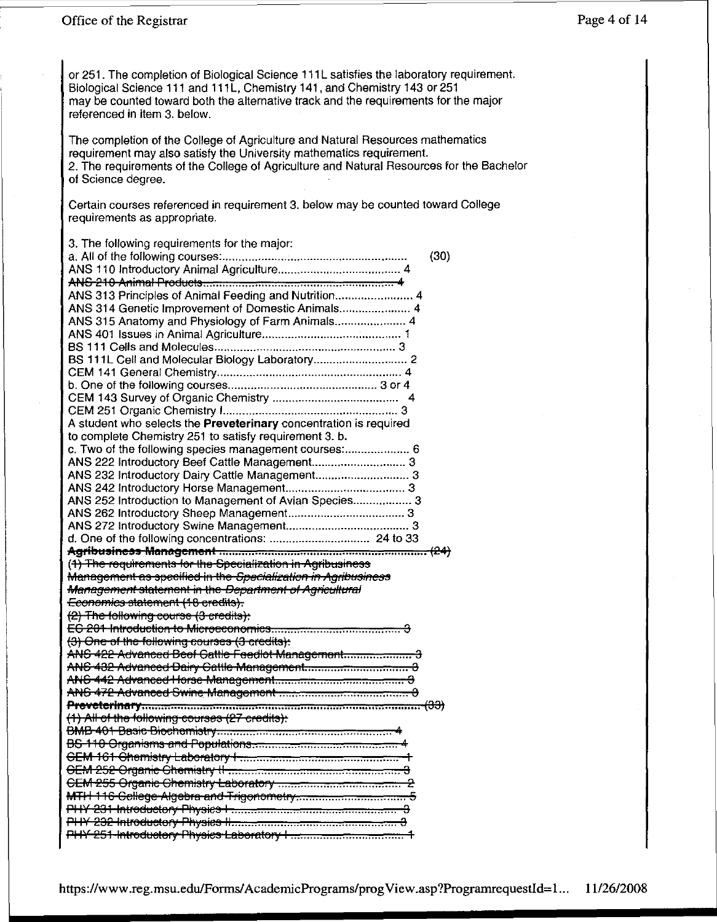or 251. The completion of Biological Science 111L satisfies the laboratory requirement. Biological Science 111 and 111L, Chemistry 141, and Chemistry 143 or 251 may be counted toward both the alternative track and the requirements for the major referenced in item 3. below.

The completion of the College of Agriculture and Natural Resources mathematics requirement may also satisfy the University mathematics requirement. 2. The requirements of the College of Agriculture and Natural Resources for the Bachelor of Science degree.

Certain courses referenced in requirement 3. below may be counted toward College requirements as appropriate.

| 3. The following requirements for the major:                                                                                 |      |
|------------------------------------------------------------------------------------------------------------------------------|------|
|                                                                                                                              | (30) |
|                                                                                                                              |      |
| ANS 313 Principles of Animal Feeding and Nutrition 4                                                                         |      |
| ANS 314 Genetic Improvement of Domestic Animals 4                                                                            |      |
| ANS 315 Anatomy and Physiology of Farm Animals 4                                                                             |      |
|                                                                                                                              |      |
|                                                                                                                              |      |
|                                                                                                                              |      |
|                                                                                                                              |      |
|                                                                                                                              |      |
|                                                                                                                              |      |
| A student who selects the Preveterinary concentration is required                                                            |      |
| to complete Chemistry 251 to satisfy requirement 3. b.                                                                       |      |
| c. Two of the following species management courses: 6                                                                        |      |
| ANS 222 Introductory Beef Cattle Management 3                                                                                |      |
| ANS 232 Introductory Dairy Cattle Management 3                                                                               |      |
|                                                                                                                              |      |
| ANS 252 Introduction to Management of Avian Species 3                                                                        |      |
|                                                                                                                              |      |
|                                                                                                                              |      |
|                                                                                                                              |      |
|                                                                                                                              |      |
|                                                                                                                              |      |
|                                                                                                                              |      |
| (1) The requirements for the Specialization in Agribusiness<br>Management as specified in the Specialization in Agribusiness |      |
| <b>Management statement in the Department of Agricultural</b>                                                                |      |
| Economics statement (18 credits).                                                                                            |      |
| (2) The following course (3-credits):                                                                                        |      |
|                                                                                                                              |      |
| (3) One of the following courses (3 credits):                                                                                |      |
| ANS 422 Advanced Beef Cattle Feedlot Management 3                                                                            |      |
|                                                                                                                              |      |
|                                                                                                                              |      |
|                                                                                                                              |      |
|                                                                                                                              |      |
| (1) All of the following courses (27 credits):                                                                               |      |
|                                                                                                                              |      |
|                                                                                                                              |      |
|                                                                                                                              |      |
|                                                                                                                              |      |
|                                                                                                                              |      |
|                                                                                                                              |      |
|                                                                                                                              |      |
|                                                                                                                              |      |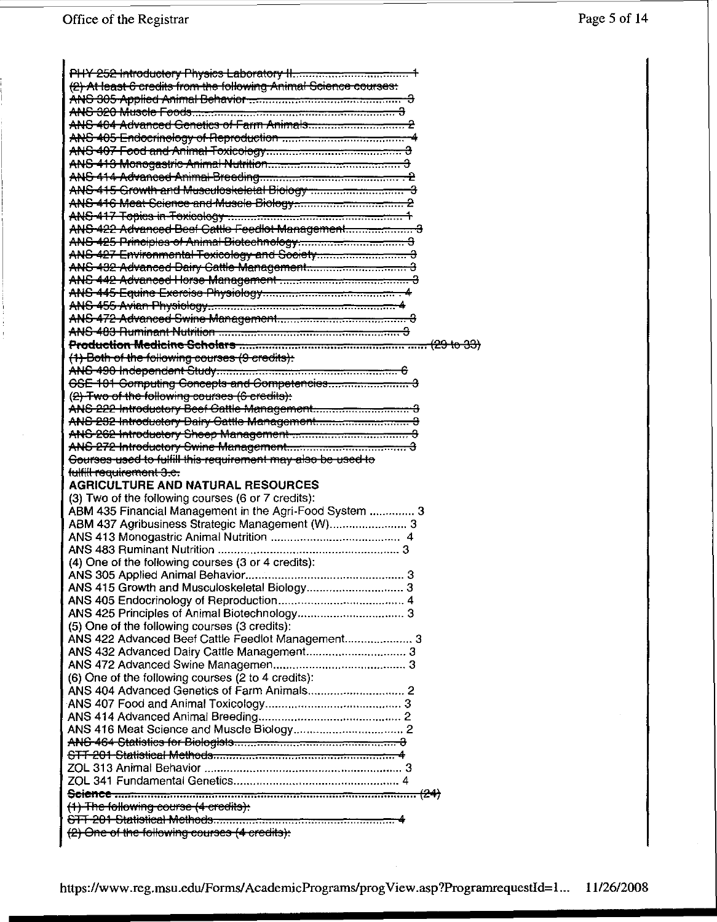| (2) At least 6 credits from the following Animal Science courses: |
|-------------------------------------------------------------------|
|                                                                   |
|                                                                   |
|                                                                   |
|                                                                   |
|                                                                   |
|                                                                   |
|                                                                   |
|                                                                   |
|                                                                   |
|                                                                   |
|                                                                   |
|                                                                   |
|                                                                   |
|                                                                   |
|                                                                   |
|                                                                   |
|                                                                   |
|                                                                   |
|                                                                   |
|                                                                   |
| (1) Both of the following courses (9 credits):                    |
|                                                                   |
|                                                                   |
| (2) Two of the following courses (6 credits):                     |
|                                                                   |
|                                                                   |
| ANS-262 Introductory Sheep Management-communications and 3        |
|                                                                   |
|                                                                   |
|                                                                   |
| Gourses used to fulfill this requirement may also be used to      |
| fulfill requirement 3.c.                                          |
| <b>AGRICULTURE AND NATURAL RESOURCES</b>                          |
| (3) Two of the following courses (6 or 7 credits):                |
| ABM 435 Financial Management in the Agri-Food System  3           |
| ABM 437 Agribusiness Strategic Management (W) 3                   |
|                                                                   |
|                                                                   |
| (4) One of the following courses (3 or 4 credits):                |
|                                                                   |
|                                                                   |
|                                                                   |
|                                                                   |
| (5) One of the following courses (3 credits):                     |
| ANS 422 Advanced Beef Cattle Feedlot Management 3                 |
|                                                                   |
|                                                                   |
| (6) One of the following courses (2 to 4 credits):                |
|                                                                   |
|                                                                   |
|                                                                   |
|                                                                   |
|                                                                   |
|                                                                   |
|                                                                   |
|                                                                   |
|                                                                   |
| (1) The following course (4 credits):                             |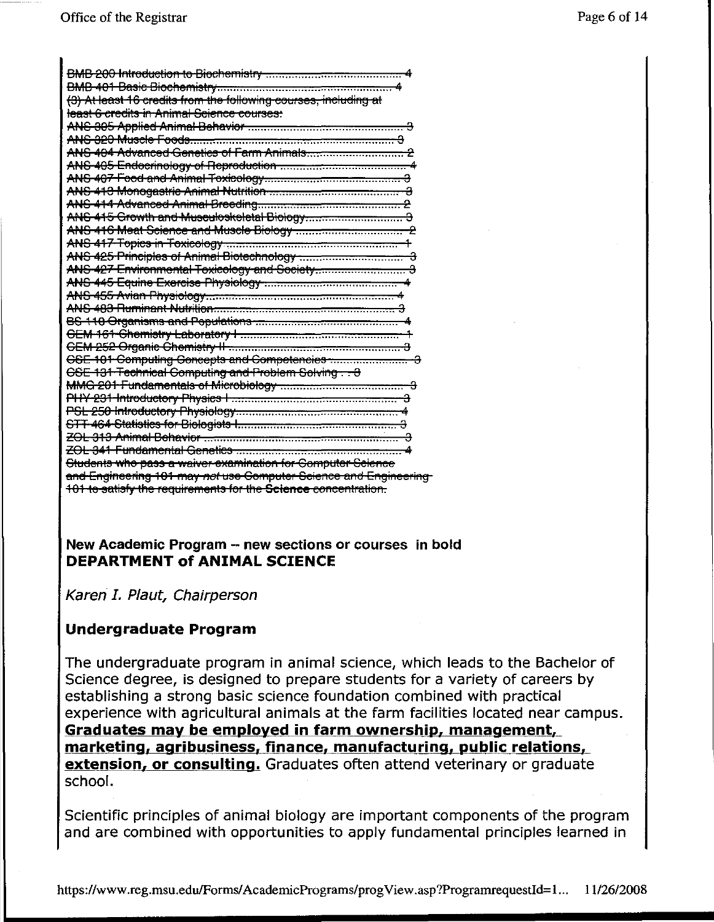| (3) At least 16 credits from the following courses, including at   |
|--------------------------------------------------------------------|
| least 6 credits in Animal Science courses:                         |
|                                                                    |
|                                                                    |
|                                                                    |
|                                                                    |
|                                                                    |
|                                                                    |
|                                                                    |
|                                                                    |
|                                                                    |
|                                                                    |
|                                                                    |
|                                                                    |
|                                                                    |
|                                                                    |
|                                                                    |
|                                                                    |
|                                                                    |
|                                                                    |
|                                                                    |
| CSE 131 Technical Computing and Problem Solving. 3                 |
| MMG 201 Fundamentals of Microbiology manufactured and manufactured |
|                                                                    |
|                                                                    |
|                                                                    |
|                                                                    |
|                                                                    |
| Students who pass a waiver-examination for Computer Science        |
| and Engineering 101 may not use Computer Science and Engineering   |
| 101 to satisfy the requirements for the Science concentration.     |

### New Academic Program -- new sections or courses in bold **DEPARTMENT of ANIMAL SCIENCE**

Karen I. Plaut, Chairperson

### **Undergraduate Program**

The undergraduate program in animal science, which leads to the Bachelor of Science degree, is designed to prepare students for a variety of careers by establishing a strong basic science foundation combined with practical experience with agricultural animals at the farm facilities located near campus. Graduates may be employed in farm ownership, management, marketing, agribusiness, finance, manufacturing, public relations, extension, or consulting. Graduates often attend veterinary or graduate school.

Scientific principles of animal biology are important components of the program and are combined with opportunities to apply fundamental principles learned in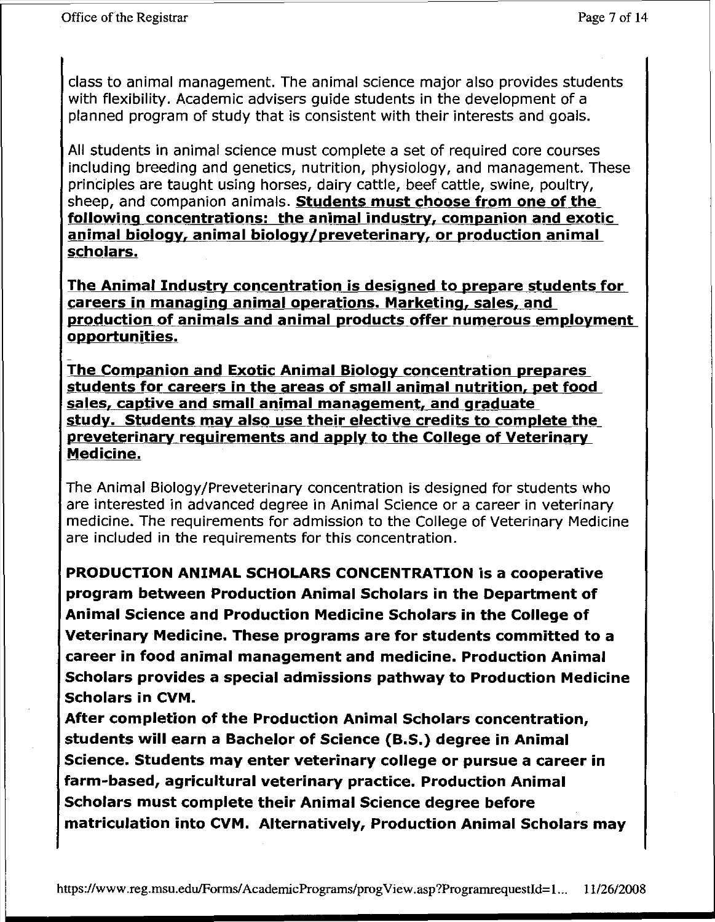class to animal management. The animal science major also provides students with flexibility. Academic advisers guide students in the development of a planned program of study that is consistent with their interests and goals.

All students in animal science must complete a set of required core courses including breeding and genetics, nutrition, physiology, and management. These principles are taught using horses, dairy cattle, beef cattle, swine, poultry, sheep, and companion animals. **Students must choose from one of the following concentrations: the animal industry, companion and exotic animal biology, animal biology/preveterinary, or production animal scholars,**

**The Animal Industry concentration is designed to prepare students for careers in managing animal operations, Marketing, sales, and production of animals and animal products offer numerous employment opportunities.**

- **The Companion and Exotic Animal Biology concentration prepares students for careers in the areas of small animal nutrition, pet food sales, captive and small animal management, and graduate study, Students may also use their elective credits to complete the preveterinary requirements and apply to the College of Veterinary Medicine.**

The Animal Biology/Preveterinary concentration is designed for students who are interested in advanced degree in Animal Science or a career in veterinary medicine. The requirements for admission to the College of Veterinary Medicine are included in the requirements for this concentration.

**PRODUCTION ANIMAL SCHOLARS CONCENTRATION is a cooperative program between Production Animal Scholars in the Department of Animal Science and Production Medicine Scholars in the College of Veterinary Medicine, These programs are for students committed to a career in food animal management and medicine. Production Animal Scholars provides a special admissions pathway to Production Medicine Scholars in CVM.**

**After completion of the Production Animal Scholars concentration, students will earn a Bachelor of Science (B.S.) degree in Animal Science. Students may enter veterinary college or pursue a career in farm-based, agricultural veterinary practice. Production Animal Scholars must complete their Animal Science degree before matriculation into CVM. Alternatively, Production Animal Scholars may**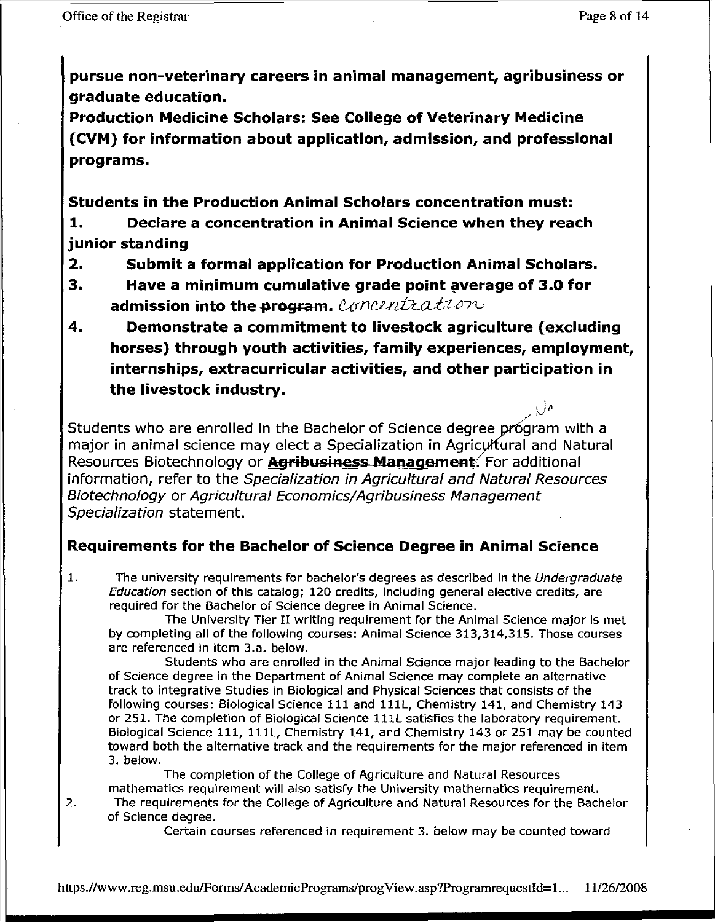$\sqrt{\theta}$ 

**pursue non-veterinary careers in animal management, agribusiness or graduate education.**

**Production Medicine Scholars: See College of Veterinary Medicine (CVM) for information about application, admission, and professional programs.**

**Students in the Production Animal Scholars concentration must:**

**1. Declare a concentration in Animal Science when they reach junior standing**

- **2. Submit a formal application for Production Animal Scholars.**
- **3. Have a minimum cumulative grade point !jIverage of 3.0 for admission into the program.** Concentration
- **4. Demonstrate a commitment to livestock agriculture (excluding horses) through youth activities, family experiences, employment, internships, extracurricular activities, and other participation in the livestock industry.**

Students who are enrolled in the Bachelor of Science degree program with a major in animal science may elect a Specialization in Agriculfural and Natural Resources Biotechnology or **Agribusiness Management:**For additional information, refer to the Specialization in Agricultural and Natural Resources Biotechnology or Agricultural Economics/Agribusiness Management Specialization statement.

### **Requirements for the Bachelor of Science Degree in Animal Science**

1. The university requirements for bachelor's degrees as described in the Undergraduate Education section of this catalog; 120 credits, including general elective credits, are required for the Bachelor of Science degree in Animal Science.

The University Tier II writing requirement for the Animal Science major is met by completing all of the following courses: Animal Science 313,314,315. Those courses are referenced in item 3.a. below.

Students who are enrolled in the Animal Science major leading to the Bachelor of Science degree in the Department of Animal Science may complete an alternative track to integrative Studies in Biological and Physical Sciences that consists of the following courses: Biological Science 111 and l11l, Chemistry 141, and Chemistry 143 or 251. The completion of Biological Science 111l satisfies the laboratory requirement. Biological Science 111, l11l, Chemistry 141, and Chemistry 143 or 251 may be counted toward both the alternative track and the requirements for the major referenced in item 3. below.

The completion of the College of Agriculture and Natural Resources mathematics requirement will also satisfy the University mathematics requirement.

2. The requirements for the College of Agriculture and Natural Resources for the Bachelor of Science degree.

Certain courses referenced in requirement 3. below may be counted toward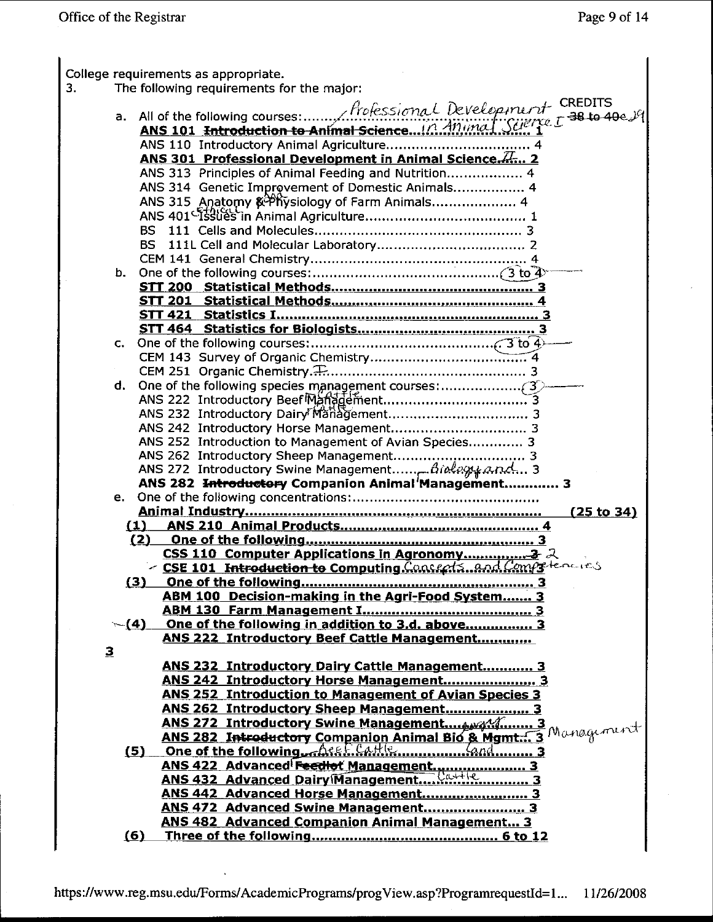| 3. |              | College requirements as appropriate.<br>The following requirements for the major:                                                                                     |
|----|--------------|-----------------------------------------------------------------------------------------------------------------------------------------------------------------------|
|    |              |                                                                                                                                                                       |
|    |              |                                                                                                                                                                       |
|    |              | a. All of the following courses: $f$ refessional Development CREDITS<br>ANS 101 <del>Introduction to Animal Science</del> in Animal Science 5 38 to 40e $\mathcal{Y}$ |
|    |              |                                                                                                                                                                       |
|    |              | ANS 301 Professional Development in Animal Science. Z 2                                                                                                               |
|    |              | ANS 313 Principles of Animal Feeding and Nutrition 4                                                                                                                  |
|    |              | ANS 314 Genetic Improvement of Domestic Animals 4                                                                                                                     |
|    |              |                                                                                                                                                                       |
|    |              | BS I                                                                                                                                                                  |
|    |              | BS                                                                                                                                                                    |
|    |              |                                                                                                                                                                       |
|    |              |                                                                                                                                                                       |
|    |              |                                                                                                                                                                       |
|    |              |                                                                                                                                                                       |
|    |              |                                                                                                                                                                       |
|    |              |                                                                                                                                                                       |
|    | C.           |                                                                                                                                                                       |
|    |              |                                                                                                                                                                       |
|    |              |                                                                                                                                                                       |
|    | d.           |                                                                                                                                                                       |
|    |              |                                                                                                                                                                       |
|    |              |                                                                                                                                                                       |
|    |              | ANS 252 Introduction to Management of Avian Species 3                                                                                                                 |
|    |              |                                                                                                                                                                       |
|    |              | ANS 272 Introductory Swine Management Biology and 3                                                                                                                   |
|    |              | ANS 282 Introductory Companion Animal Management 3                                                                                                                    |
|    |              |                                                                                                                                                                       |
|    |              | (25 to 34)                                                                                                                                                            |
|    |              | <u>(1)</u>                                                                                                                                                            |
|    |              | (2)                                                                                                                                                                   |
|    |              |                                                                                                                                                                       |
|    |              | - CSE 101 Introduction to Computing Consects and Compressions                                                                                                         |
|    |              | (3)                                                                                                                                                                   |
|    |              | ABM 100 Decision-making in the Agri-Food System 3                                                                                                                     |
|    |              | $\sim$ (4) One of the following in addition to 3.d. above 3                                                                                                           |
|    |              | ANS 222 Introductory Beef Cattle Management                                                                                                                           |
|    | $\mathbf{3}$ |                                                                                                                                                                       |
|    |              | ANS 232 Introductory Dairy Cattle Management 3                                                                                                                        |
|    |              | ANS 242 Introductory Horse Management 3                                                                                                                               |
|    |              | <b>ANS 252 Introduction to Management of Avian Species 3</b>                                                                                                          |
|    |              | ANS 262 Introductory Sheep Management 3                                                                                                                               |
|    |              |                                                                                                                                                                       |
|    |              | ANS 282 Introductory Companion Animal Bio & Mgmt 3 Management                                                                                                         |
|    |              | $(5)$ One of the following $AeeF.CaHle$ $AHe.$ $Aad$ $A.$                                                                                                             |
|    |              | ANS 422 Advanced Feedlet Management 3<br>ANS 432 Advanced Dairy Management 3                                                                                          |
|    |              |                                                                                                                                                                       |
|    |              | ANS 442 Advanced Horse Management 3                                                                                                                                   |
|    |              | ANS 472 Advanced Swine Management 3<br><b>ANS 482 Advanced Companion Animal Management 3</b>                                                                          |
|    |              | (6)                                                                                                                                                                   |
|    |              |                                                                                                                                                                       |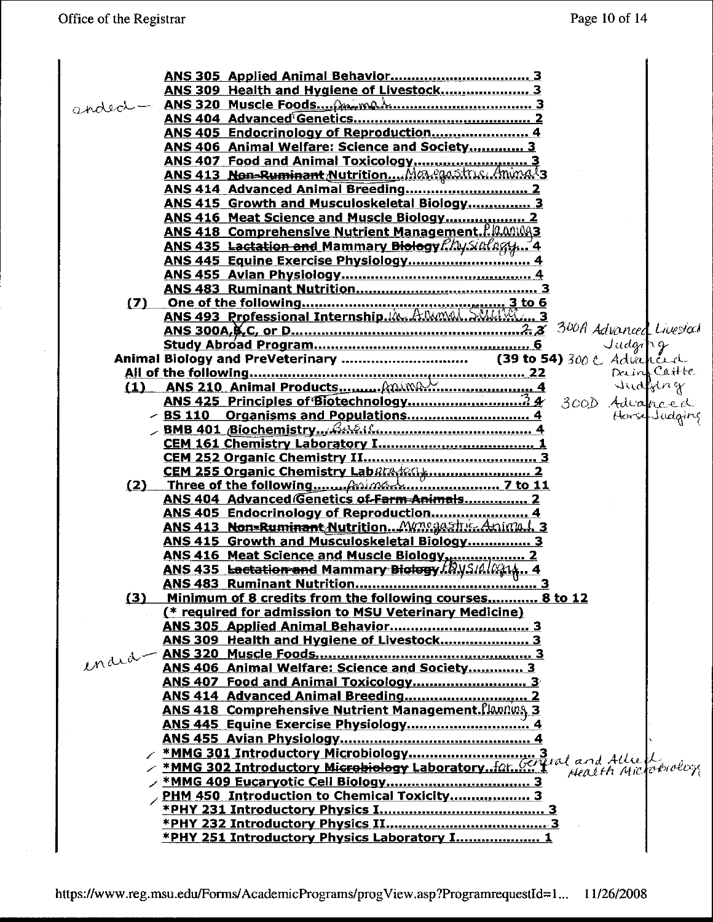|     | ANS 309 Health and Hygiene of Livestock 3                                                      |
|-----|------------------------------------------------------------------------------------------------|
|     | anded - ANS 320 Muscle Foods. Annah mannummummun 3                                             |
|     |                                                                                                |
|     | ANS 405 Endocrinology of Reproduction 4                                                        |
|     | ANS 406 Animal Welfare: Science and Society 3                                                  |
|     |                                                                                                |
|     |                                                                                                |
|     |                                                                                                |
|     | <b>ANS 415 Growth and Musculoskeletal Biology 3</b>                                            |
|     | ANS 416 Meat Science and Muscle Biology 2                                                      |
|     | <b>ANS 418 Comprehensive Nutrient Management.</b> P.IQ. MILAGES                                |
|     | ANS 435 Lactation and Mammary Biology Physinglagy 4                                            |
|     |                                                                                                |
|     |                                                                                                |
|     |                                                                                                |
| (7) |                                                                                                |
|     |                                                                                                |
|     |                                                                                                |
|     | Judg/p                                                                                         |
|     |                                                                                                |
|     |                                                                                                |
|     |                                                                                                |
|     |                                                                                                |
|     | Horse Judging<br>BS 110 Organisms and Populations 4                                            |
|     |                                                                                                |
|     |                                                                                                |
|     |                                                                                                |
|     |                                                                                                |
| (2) |                                                                                                |
|     | ANS 404 Advanced Genetics of Farm Animals 2                                                    |
|     | ANS 405 Endocrinology of Reproduction<br>ANS 413 Non=Ruminant Nutrition Menegastric. Animal. 3 |
|     |                                                                                                |
|     | ANS 415 Growth and Musculoskeletal Biology 3                                                   |
|     | <b>ANS 435 Lectation and Mammary Biology Γενικίνει 10</b>                                      |
|     |                                                                                                |
| (3) | Minimum of 8 credits from the following courses 8 to 12                                        |
|     | (* required for admission to MSU Veterinary Medicine)                                          |
|     |                                                                                                |
|     | ANS 309 Health and Hygiene of Livestock 3                                                      |
|     |                                                                                                |
|     | ANS 406 Animal Welfare: Science and Society 3                                                  |
|     |                                                                                                |
|     |                                                                                                |
|     | <b>ANS 418 Comprehensive Nutrient Management. Planning 3</b>                                   |
|     |                                                                                                |
|     |                                                                                                |
|     |                                                                                                |
|     |                                                                                                |
|     |                                                                                                |
|     | PHM 450 Introduction to Chemical Toxicity 3                                                    |
|     |                                                                                                |
|     |                                                                                                |
|     | *PHY 251 Introductory Physics Laboratory I 1                                                   |
|     |                                                                                                |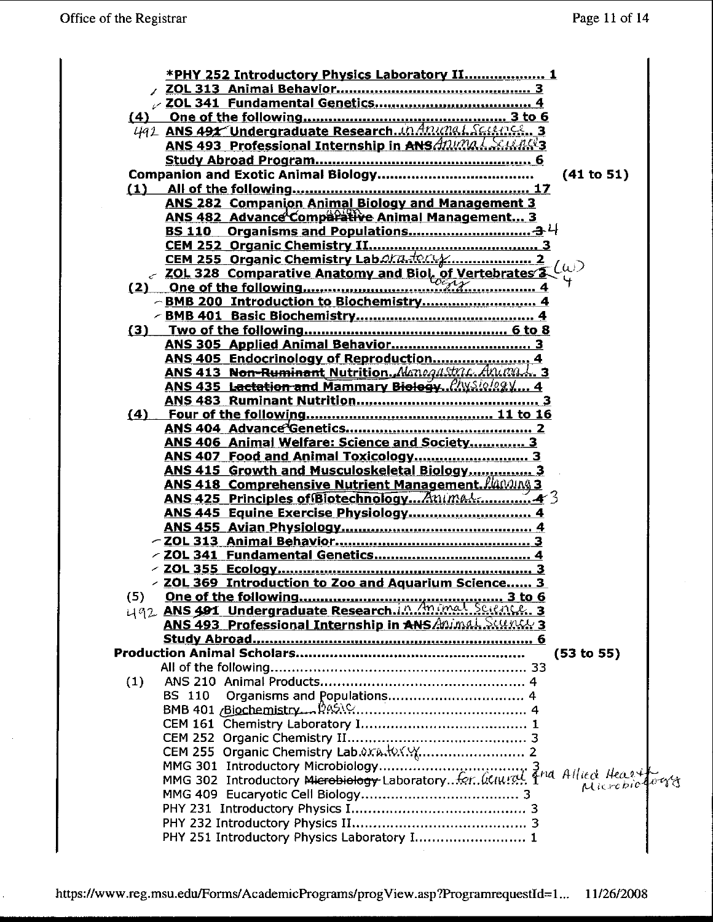|     | <b>*PHY 252 Introductory Physics Laboratory II 1</b>         |  |
|-----|--------------------------------------------------------------|--|
|     |                                                              |  |
|     |                                                              |  |
|     |                                                              |  |
|     |                                                              |  |
|     | ANS 493 Professional Internship in ANS Mima L. Suchets       |  |
|     |                                                              |  |
|     | (41 to 51)                                                   |  |
|     |                                                              |  |
|     | <b>ANS 282 Companion Animal Biology and Management 3</b>     |  |
|     | ANS 482 Advance Comparative Animal Management 3              |  |
|     |                                                              |  |
|     |                                                              |  |
|     | CEM 252 Organic Chemistry Lab $\mathcal{Q}K$ (William 2014)  |  |
|     |                                                              |  |
|     |                                                              |  |
|     | -BMB 200 Introduction to Biochemistry 4                      |  |
|     |                                                              |  |
|     |                                                              |  |
|     |                                                              |  |
|     | ANS 405 Endocrinology of Reproduction 4                      |  |
|     | ANS 413 Non-Ruminant Nutrition. Monegastric Animal. 3        |  |
|     | ANS 435 Lactation and Mammary Biology Physiology 4           |  |
|     |                                                              |  |
|     |                                                              |  |
|     | ANS 406 Animal Welfare: Science and Society 3                |  |
|     |                                                              |  |
|     | ANS 415 Growth and Musculoskeletal Biology 3                 |  |
|     | <b>ANS 418 Comprehensive Nutrient Management. Algoving 3</b> |  |
|     |                                                              |  |
|     |                                                              |  |
|     |                                                              |  |
|     |                                                              |  |
|     |                                                              |  |
|     |                                                              |  |
|     | ZOL 369 Introduction to Zoo and Aquarium Science 3           |  |
|     |                                                              |  |
|     |                                                              |  |
|     | ANS 493 Professional Internship in ANS Animal Sounds 3       |  |
|     |                                                              |  |
|     | (53 to 55)                                                   |  |
|     |                                                              |  |
| (1) |                                                              |  |
|     | BS 110                                                       |  |
|     |                                                              |  |
|     |                                                              |  |
|     |                                                              |  |
|     |                                                              |  |
|     |                                                              |  |
|     |                                                              |  |
|     |                                                              |  |
|     |                                                              |  |
|     |                                                              |  |
|     | PHY 251 Introductory Physics Laboratory I 1                  |  |
|     |                                                              |  |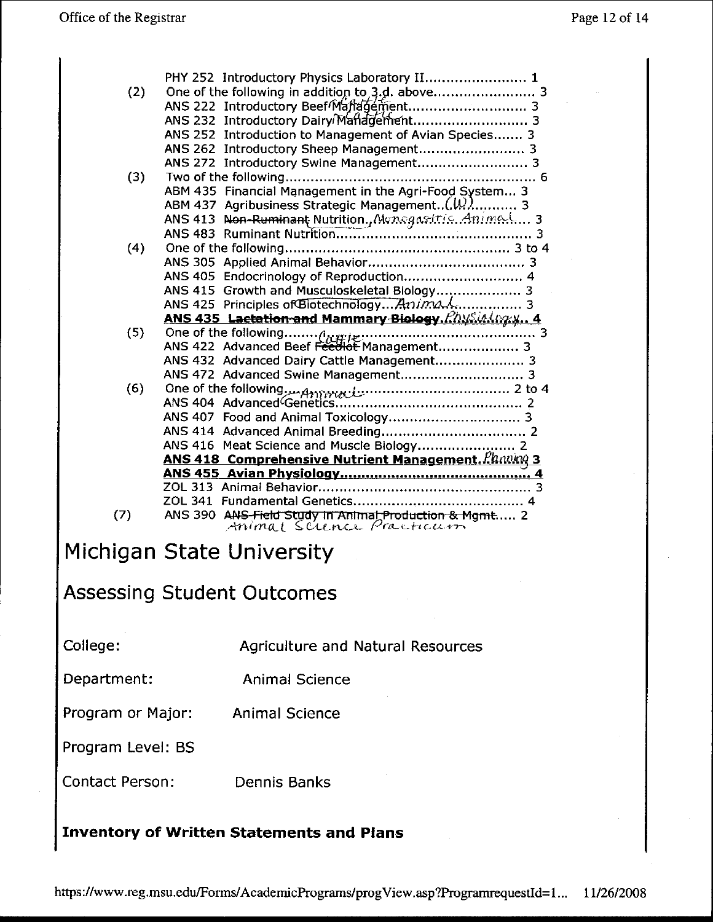| (2) | PHY 252 Introductory Physics Laboratory II 1<br>One of the following in addition to 3.d. above 3<br>ANS 252 Introduction to Management of Avian Species 3<br>ANS 262 Introductory Sheep Management 3 |
|-----|------------------------------------------------------------------------------------------------------------------------------------------------------------------------------------------------------|
|     | ANS 272 Introductory Swine Management 3                                                                                                                                                              |
| (3) |                                                                                                                                                                                                      |
|     | ABM 435 Financial Management in the Agri-Food System 3                                                                                                                                               |
|     | ABM 437 Agribusiness Strategic Management $(\mathcal{W})$ 3                                                                                                                                          |
|     | ANS 413 Non-Ruminant Nutrition., Monogastric. Animal 3                                                                                                                                               |
|     |                                                                                                                                                                                                      |
| (4) |                                                                                                                                                                                                      |
|     |                                                                                                                                                                                                      |
|     | ANS 405 Endocrinology of Reproduction 4                                                                                                                                                              |
|     | ANS 415 Growth and Musculoskeletal Biology 3                                                                                                                                                         |
|     | ANS 425 Principles of Biotechnology Anima A 3                                                                                                                                                        |
|     | ANS 435 Lactation and Mammary Biology. Physin Lagry 4                                                                                                                                                |
| (5) |                                                                                                                                                                                                      |
|     |                                                                                                                                                                                                      |
|     | ANS 432 Advanced Dairy Cattle Management 3                                                                                                                                                           |
|     |                                                                                                                                                                                                      |
| (6) |                                                                                                                                                                                                      |
|     |                                                                                                                                                                                                      |
|     |                                                                                                                                                                                                      |
|     |                                                                                                                                                                                                      |
|     |                                                                                                                                                                                                      |
|     | <b>ANS 418 Comprehensive Nutrient Management.</b> Planning 3                                                                                                                                         |
|     |                                                                                                                                                                                                      |
|     |                                                                                                                                                                                                      |
|     |                                                                                                                                                                                                      |
| (7) | ANS 390 ANS Field Study in Animal Production & Mgmt 2                                                                                                                                                |

# Michigan State University

## **Assessing Student Outcomes**

College:

**Agriculture and Natural Resources** 

Department: **Animal Science** 

Program or Major: **Animal Science** 

Program Level: BS

Contact Person: Dennis Banks

### **Inventory of Written Statements and Plans**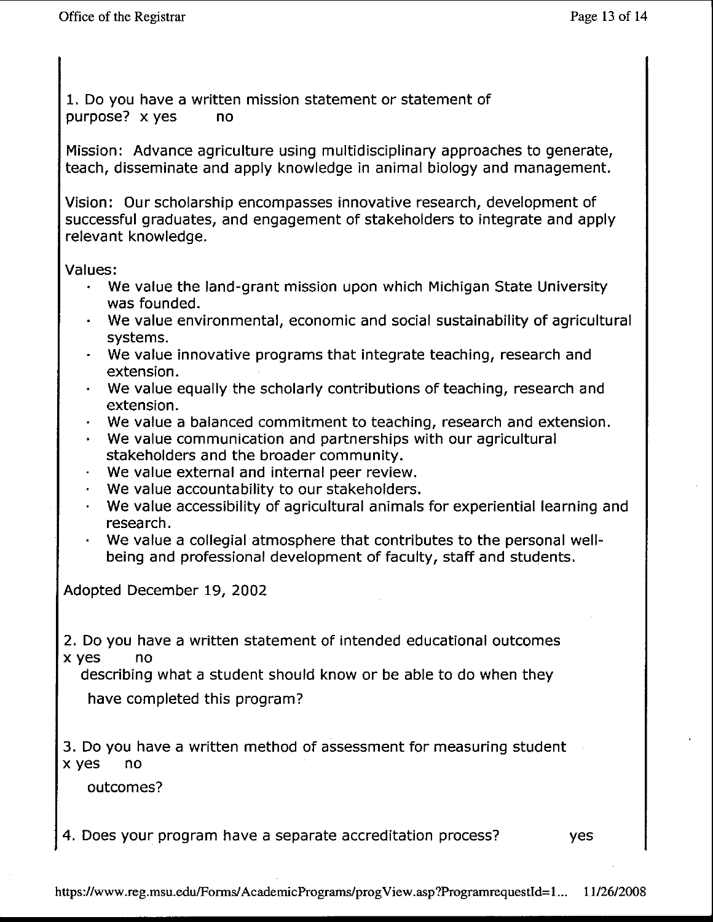1. Do you have a written mission statement or statement of purpose? x yes no

Mission: Advance agriculture using multidisciplinary approaches to generate, teach, disseminate and apply knowledge in animal biology and management.

Vision: Our scholarship encompasses innovative research, development of successful graduates, and engagement of stakeholders to integrate and apply relevant knowledge.

Values:

- We value the land-grant mission upon which Michigan State University was founded.
- We value environmental, economic and social sustainability of agricultural systems.
- We value innovative programs that integrate teaching, research and extension.
- We value equally the scholarly contributions of teaching, research and extension.
- $\cdot$  We value a balanced commitment to teaching, research and extension.
- We value communication and partnerships with our agricultural stakeholders and the broader community.
- We value external and internal peer review.
- We value accountability to our stakeholders. ¥.
- We value accessibility of agricultural animals for experiential learning and research.
- We value a collegial atmosphere that contributes to the personal wellbeing and professional development of faculty, staff and students.

Adopted December 19, 2002

2. Do you have a written statement of intended educational outcomes x yes no

describing what a student should know or be able to do when they

have completed this program?

3. Do you have a written method of assessment for measuring student x yes no

outcomes?

4. Does your program have a separate accreditation process? ves

https://www.reg.msu.edu/Forms/AcademicPrograms/progView.asp?ProgramrequestId=1... 11/26/2008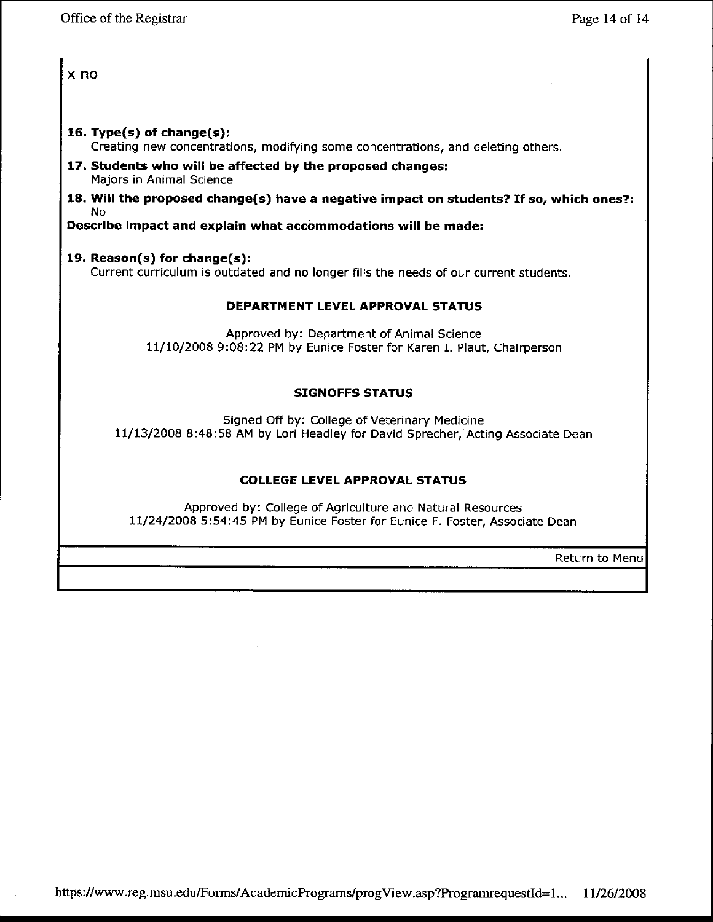x no

### **16. Type(s) of change(s):**

Creating new concentrations, modifying some concentrations, and deleting others.

- **17. Students who will be affected by the proposed changes:** Majors in Animal Science
- **18. Will the proposed change(s) have <sup>a</sup> negative impact on students? If so, which ones?:** No

**Describe impact and explain what accommodations will be made:**

### **19. Reason(s) for change(s):**

Current curriculum is outdated and no longer fills the needs of our current students.

### **DEPARTMENT LEVEL APPROVAL STATUS**

Approved by: Department of Animal Science 11/10/20089:08:22 PM by Eunice Foster for Karen 1. Plaut, Chairperson

### **SIGNOFFS STATUS**

Signed Off by: College of Veterinary Medicine 11/13/2008 8 :48: 58 AM by Lori Headley for David Sprecher, Acting Associate Dean

### **COLLEGE LEVEL APPROVAL STATUS**

Approved by: College of Agriculture and Natural Resources 11/24/20085:54:45 PM by Eunice Foster for Eunice F. Foster, Associate Dean

Return to Menu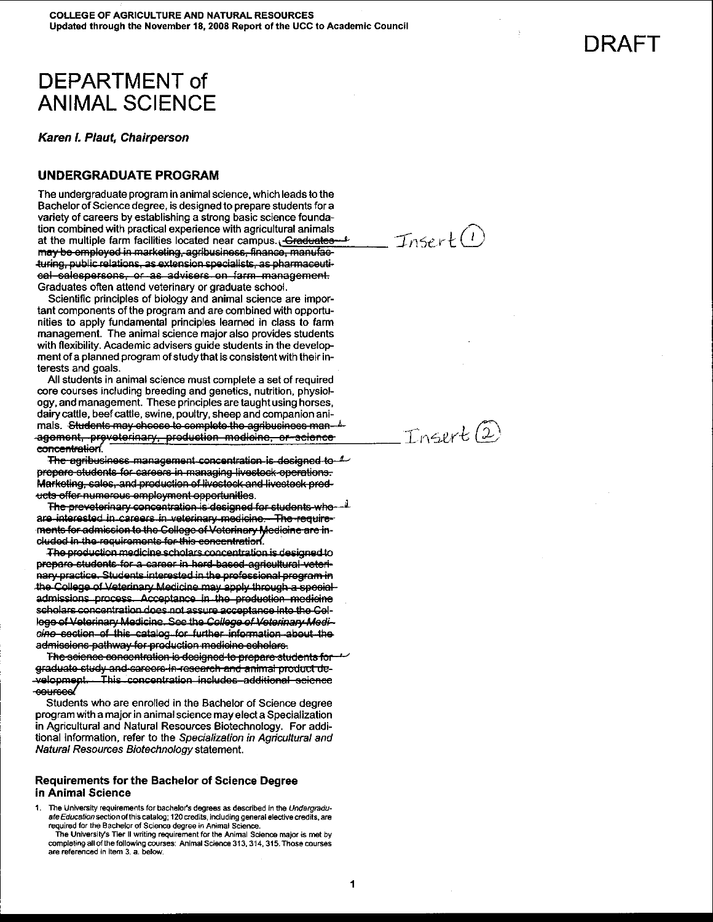## DEPARTMENT of ANIMAL SCIENCE

Karen I. Plaut, Chairperson

#### UNDERGRADUATE PROGRAM

The undergraduate program in animal science, which leads to the Bachelor of Science degree, is designed to prepare students for a variety of careers by establishing a strong basic science foundation combined with practical experience with agricultural animals<br>at the multiple farm facilities located near campus. <del>Craduates for the state of the state of</del> at the multiple farm facilities located near campus. <del>Craduates \*</del><br>may be employed in marketing, agribusiness, finance, manufacturing, public relations, as extension specialists, as pharmaceutieal salespersons, or as advisers on farm management. Graduates often attend veterinary or graduate school.

Scientific principles of bioiogy and animal science are important components of the program and are combined with opportunities to apply fundamental principles learned in class to farm management. The animai science major also provides students with flexibility. Academic advisers guide students in the development of a planned program of study that is consistent with their interests and goals.

All students in animal science must complete a set of required core courses including breeding and genetics, nutrition, physiology, and management. These principles are taught using horses, dairy cattle, beef cattle, swine, poultry, sheep and companion ani mals. <del>Students may choose to complete the agribusiness man  $\frac{k}{2}$ <br>agement, preveterinary, production modicine, or-science<br>concentration.</del>

The agribusiness management concentration is designed to  $4$ prepare students for careers in managing livestock operations. Marketing, sales, and production of livestock and livestock prod-"ets e[fer """'••S"" .",~lsy",eRts~~.rt"Aitie•. The J3ro';eteriRary SQROQRtr:atien lS'Q9sigA9Q fer St~El8R16 Wfle <sup>J</sup>

are interested in careers in veterinary medicine. The requirements for admission to the College of Veterinary Medicine are in-<br>cluded in the requirements for this concentration.

The production medicine scholars concentration is designed to prepare students for a career in herd-based-agricultural veterinary practice. Students interested in the professional program in the College of Veterinary Medicine may apply through a special admissions process. Acceptance in the production medicine scholars concentration does not assure acceptance into the Cellege of Veterinary Medicine. See the College of Veterinary Medicine section of this catalog for further information about the admissiens pathway fer preductien medicine schelare.

The science concentration is designed to prepare students for graduate study and sareere in research and animal product de-<br>-velopment. This concentration includes additional science<br>-courses

Students who are enroiled in the Bachelor of Science degree program with a major in animal science may elect a Specialization in Agricultural and Natural Resources Biotechnology. For additional information, refer to the Specialization in Agricultural and Natural Resources Biotechnology statement.

#### Requirements for the Bachelor of Science Degree in Animal Science

1. The University requirements for bachelor's degrees as described in the Undergraduate Education section of this catalog; 120 credits, including general elective credits, are required for the Bachelor of Science degree in Animal Science.

The University's Tier II writing requirement for the Animal Science major is met by completing all of the following courses: Animal Science 313, 314, 315. Those courses are referenced in item 3. a. below.

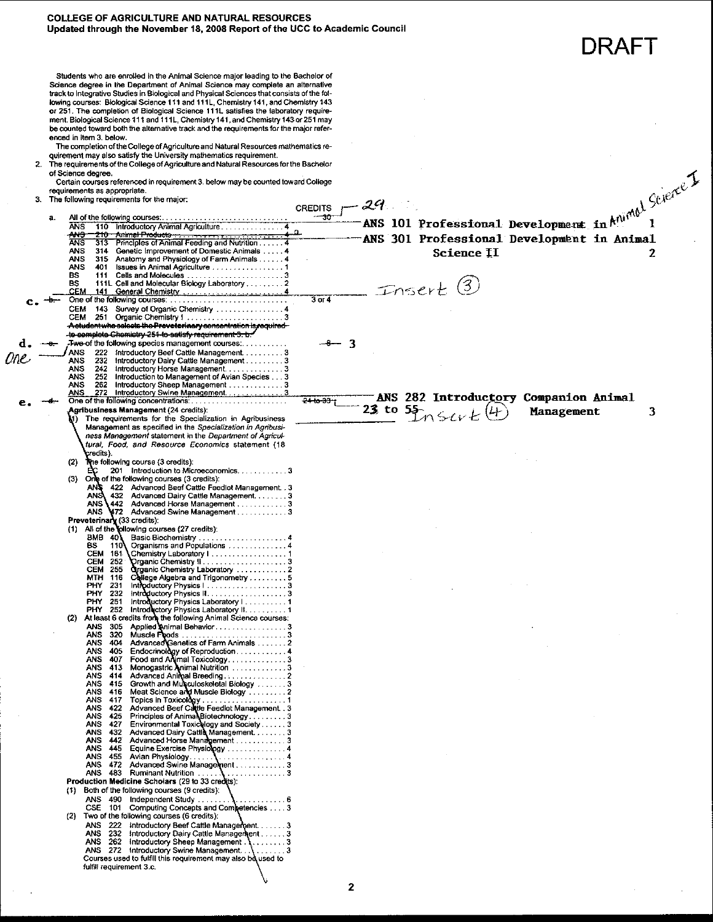#### **COLLEGE OF AGRICULTURE AND NATURAL RESOURCES** Updated through the November 18, 2008 Report of the UCC to Academic Council

DRAFT

Students who are enrolled in the Animal Science major leading to the Bachelor of Science degree in the Department of Animal Science may complete an alternative track to Integrative Studies in Biological and Physical Sciences that consists of the following courses: Biological Science 111 and 111L, Chemistry 141, and Chemistry 143 or 251. The completion of Biological Science 111L satisfies the laboratory requirement. Biological Science 111 and 111L. Chemistry 141, and Chemistry 143 or 251 may be counted toward both the alternative track and the requirements for the major referenced in item 3. below.

The completion of the College of Agriculture and Natural Resources mathematics re-

quirement may also satisfy the University mathematics requirement.<br>The requirements of the College of Agriculture and Natural Resources for the Bachelor of Science degree.

Certain courses referenced in requirement 3. below may be counted toward College equirements as appropriate.

 $3.$ The following requirements for the major:

-ANS 101 Professional Development in  $k^{n_1 n_2 n_3}$  (tierce) CREDITS  $-29$ All of the following courses:  $-30$ a. 110 Introductory Animal Agriculture<br>210 Animal Productor<br>313 Principles of Animal Feeding and Nutrition **ANS AMS** 314 Genetic Improvement of Domestic Animals<br>315 Anatomy and Physiology of Farm Animals<br>315 Anatomy and Physiology of Farm Animals<br>311 ISsues in Animal Agriculture<br>311 Cells and Molecules **ANS ANS** ANS BS  $Inset(3)$  $\overline{3}$  or  $\overline{4}$ 143 Survey of Organic Chemistry<br>251 Organic Chemistry 1 **CEM** CEM <del>A student who selects the Preveterina</del> ry sensentration is requir plete Chemistry 25<del>1 to satisfy requirement 3. b *\**</del> **Twe-of the following species management courses......** 3 222 Introductory Beef Cattle Management. . . . . . . . . . 3<br>232 Introductory Dairy Cattle Management . . . . . . . . 3 **ANS** Dne ANS ANS 242 252 ANS 262 ANS ANS 282 Introductory Companion Animal  $241037$ 23 to  $55$   $Ks\vee t$ <sup>(4)</sup> **Agribusiness Management (24 credits):** 3 Management The requirements for the Specialization in Agribusiness Management as specified in the Specialization in Agribusiness Management statement in the Department of Agricultural, Food, and Resource Economics statement (18 credits) The following course (3 credits):  $(2)$ 201 Introduction to Microeconomics. . . . . . . . . . . 3 One of the following courses (3 credits):<br>ANS 422 Advanced Beef Cattle Feedlot Management. . 3<br>ANS 432 Advanced Dairy Cattle Management. . . . . . . . 3  $(3)$ 442 Advanced Horse Management . . . . . . . . . . . . . 3<br>172 Advanced Swine Management . . . . . . . . . . . . 3 ANS **ANS** Preveterinary (33 credits):<br>(1) All of the jollowing courses (27 credits): Plasic Biochemistry<br>
Organisms and Populations<br>
Chemistry Laboratory I<br>
Chemistry Laboratory I **BMB 40**  $110<sup>1</sup>$ **BS** CEM 161  $(2)$ **ANS** 472 **ANS**  $-483$ Production Medicine Scholars (29 to 33 credits): (1) Both of the following courses (9 credits): ANS 490 Independent Study ... CSE 101 Computing Concepts and Competencies .... 3<br>Two of the following courses (6 credits):  $(2)$ ANS 272 Introductory Swine Management ...<br>Courses used to fulfill this requirement may also be used to fulfill requirement 3.c.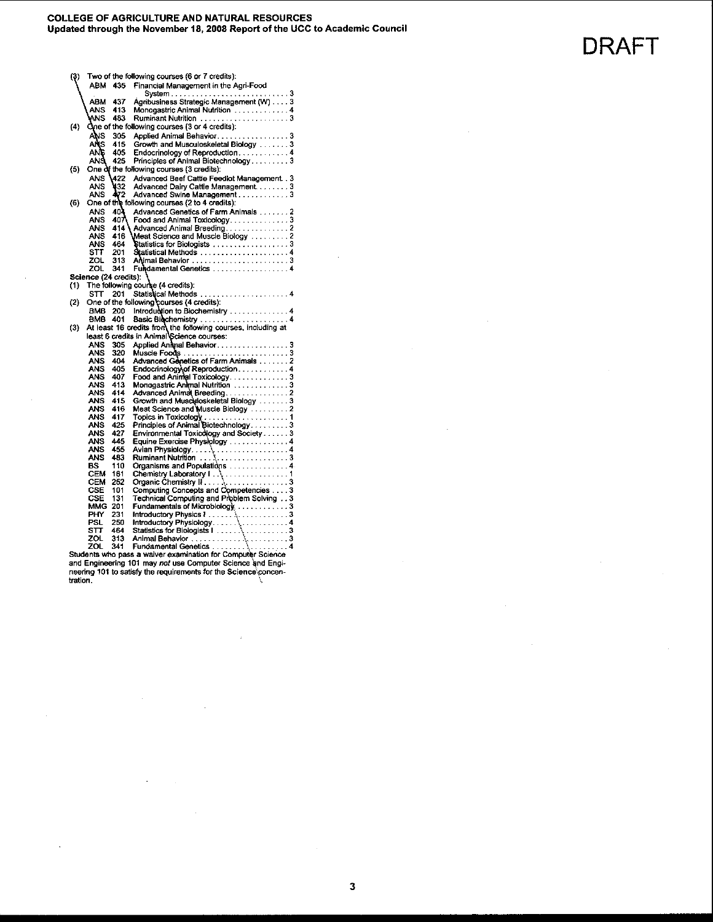**DRAFT** 

| (3)               |                       |      | Two of the following courses (6 or 7 credits):                                                             |
|-------------------|-----------------------|------|------------------------------------------------------------------------------------------------------------|
|                   | ABM                   | 435  | Financial Management in the Agri-Food                                                                      |
|                   |                       |      |                                                                                                            |
|                   | ABM                   | 437  | System<br>Agribusiness Strategic Management (W)  3                                                         |
|                   | ANS                   | 413  | Monogastric Animal Nutrition  4                                                                            |
|                   | ANS                   | 483  | Ruminant Nutrition 3                                                                                       |
| (4)               |                       |      | One of the following courses (3 or 4 credits):                                                             |
|                   | ANS                   | 305  | Applied Animal Behavior3                                                                                   |
|                   | ANS                   | 415  | Growth and Musculoskeletal Biology 3                                                                       |
|                   | ANG                   | 405  | Endocrinology of Reproduction4                                                                             |
|                   | ANS                   | 425  | Principles of Animal Biotechnology3                                                                        |
|                   |                       |      | One of the following courses (3 credits):                                                                  |
| (5)               |                       |      |                                                                                                            |
|                   | ANS                   | 422  | Advanced Beef Cattle Feedlot Management3                                                                   |
|                   | ANS                   | 432  | Advanced Dairy Cattle Management3                                                                          |
|                   | ANS                   | 472  | Advanced Swine Management3                                                                                 |
| (6)               |                       |      | One of the following courses (2 to 4 credits):                                                             |
|                   | ANS                   | 40)  | Advanced Genetics of Farm Animals 2                                                                        |
|                   | ANS                   | 407\ | Food and Animal Toxicology3                                                                                |
|                   | <b>ANS</b>            | 414  | Advanced Animal Breeding. 2                                                                                |
|                   | ANS                   | 416  | Meat Science and Muscle Biology 2                                                                          |
|                   | ANS                   | 464. | Statistics for Biologists 3                                                                                |
|                   | STT                   | 201  |                                                                                                            |
|                   | ZOL                   | 313  |                                                                                                            |
|                   | ZOL                   | 341  | Fundamental Genetics 4                                                                                     |
|                   | Science (24 credits): |      |                                                                                                            |
| (1)               |                       |      | The following course (4 credits):                                                                          |
|                   | sπ                    | 201  | Statistical Methods  4                                                                                     |
| $\left( 2\right)$ |                       |      | One of the following courses (4 credits):                                                                  |
|                   | BMB                   | 200  | Introduction to Biochemistry  4                                                                            |
|                   | <b>BMB</b>            | 401  | Basic Biochemistry 4                                                                                       |
| (3)               |                       |      |                                                                                                            |
|                   |                       |      | At least 16 credits from the following courses, including at<br>least 6 credits in Animal Science courses: |
|                   | ANS                   | 305  | Applied Animal Behavior3                                                                                   |
|                   | ANS                   | 320  |                                                                                                            |
|                   | ANS                   | 404  | Advanced Genetics of Farm Animals 2                                                                        |
|                   | ANS                   | 405  |                                                                                                            |
|                   | ANS                   | 407  | Food and Animal Toxicology 3                                                                               |
|                   | ANS                   | 413  | Monogastric Animal Nutrition 3                                                                             |
|                   | ANS                   | 414  | Advanced Animal Breeding. 2                                                                                |
|                   | ANS                   | 415  | Growth and Musculoskeletal Biology 3                                                                       |
|                   | ANS                   | 416  | Meat Science and Muscle Biology  2                                                                         |
|                   | ANS                   | 417  |                                                                                                            |
|                   | ANS                   | 425  | Topics in Toxicology<br>Principles of Animal Biotechnology. 3                                              |
|                   | ANS                   | 427  | Environmental Toxicology and Society3                                                                      |
|                   | ANS                   | 445  | Equine Exercise Physiology  4                                                                              |
|                   | ANS                   | 455  |                                                                                                            |
|                   | ANS                   | 483  |                                                                                                            |
|                   | вs                    | 110  | Organisms and Populations 4                                                                                |
|                   | CEM                   | 161  |                                                                                                            |
|                   | CEM                   | 252  |                                                                                                            |
|                   | CSE                   | 101  |                                                                                                            |
|                   | CSE                   | 131  | Technical Computing and Problem Solving 3                                                                  |
|                   | MMG                   | 201  | Fundamentals of Microbiology 3                                                                             |
|                   | PHY                   | 231  |                                                                                                            |
|                   | PSL                   | 250  |                                                                                                            |
|                   | sπ                    | 464  |                                                                                                            |
|                   | ZOL                   | 313  |                                                                                                            |
|                   | ורז                   | 341  | Fundamental Genetics<br>4                                                                                  |
|                   |                       |      |                                                                                                            |

20L 341 Fundamental Genetics<br>
Students who pass a waiver examination for Computer Science<br>
and Engineering 101 may *not* use Computer Science and Engi-<br>
neering 101 to satisfy the requirements for the Science concentration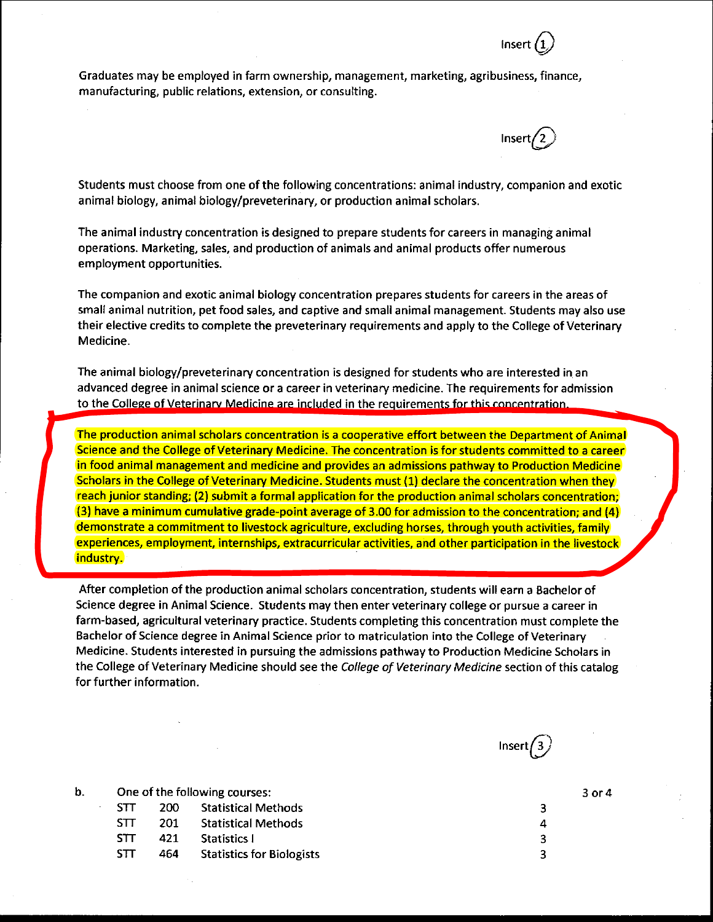Graduates may be employed in farm ownership, management, marketing, agribusiness, finance, manufacturing, public relations, extension, or consulting.

Students must choose from one of the following concentrations: animal industry, companion and exotic animal biology, animal biology/preveterinary, or production animal scholars.

The animal industry concentration is designed to prepare students for careers in managing animal operations. Marketing, sales, and production of animals and animal products offer numerous employment opportunities.

The companion and exotic animal biology concentration prepares students for careers in the areas of small animal nutrition, pet food sales, and captive and small animal management. Students may also use their elective credits to complete the preveterinary requirements and apply to the College of Veterinary Medicine.

The animal biology/preveterinary concentration is designed for students who are interested in an advanced degree in animal science or a career in veterinary medicine. The requirements for admission to the College of Veterinary Medicine are included in the requirements for this concentration.

The production animal scholars concentration is a cooperative effort between the Department of Animal Science and the College of Veterinary Medicine. The concentration is for students committed to a career in food animal management and medicine and provides an admissions pathway to Production Medicine Scholars in the College of Veterinary Medicine. Students must (1) declare the concentration when they reach junior standing; (2) submit a formal application for the production animal scholars concentration; (3) have a minimum cumulative grade-point average of 3.00 for admission to the concentration; and (4) demonstrate a commitment to livestock agriculture, excluding horses, through youth activities, family experiences, employment, internships, extracurricular activities, and other participation in the livestock industry.

After completion of the production animal scholars concentration, students will earn a Bachelor of Science degree in Animal Science. Students may then enter veterinary college or pursue a career in farm-based, agricultural veterinary practice. Students completing this concentration must complete the Bachelor of Science degree in Animal Science prior to matriculation into the College of Veterinary Medicine. Students interested in pursuing the admissions pathway to Production Medicine Scholars in the College of Veterinary Medicine should see the College of Veterinary Medicine section of this catalog for further information.



Insert*(i)*

 $Insert/2$ 

b. One of the following courses: STT 200 Statistical Methods STT 201 Statistical Methods

- STT 421 Statistics I
- STT 464 Statistics for Biologists

30r4

- 3 4 3
- 3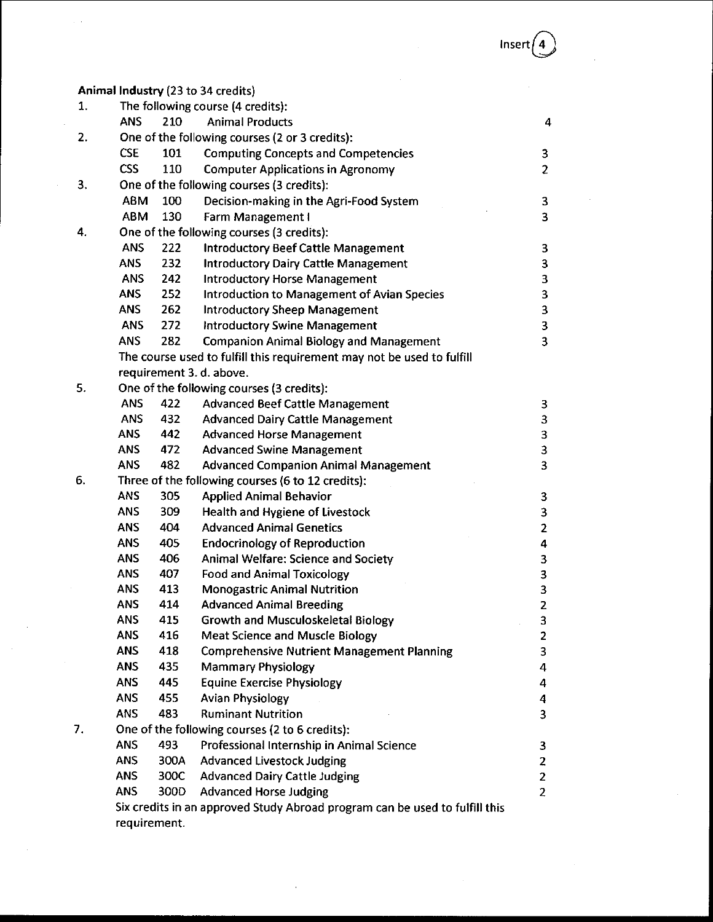Animal Industry (23 to 34 credits) 1. The following course (4 credits): ANS 210 Animal Products 4 2. One of the following courses (2 or 3 credits): CSE 101 Computing Concepts and Competencies 3 CSS 110 Computer Applications in Agronomy 2 3. One of the following courses (3 credits): ABM 100 Decision-making in the Agri-Food System 3 ABM 130 Farm Management I 3 4. One of the following courses (3 credits): ANS 222 Introductory Beef Cattle Management 3 ANS 232 Introductory Dairy Cattle Management 3 ANS 242 Introductory Horse Management 3 ANS 252 Introduction to Management of Avian Species 3 ANS 262 Introductory Sheep Management 3 ANS 272 Introductory Swine Management 3 ANS 282 Companion Animal Biology and Management 3 The course used to fulfill this requirement may not be used to fulfill requirement 3. d. above. 5. One of the following courses (3 credits): ANS 422 Advanced Beef Cattle Management 3 ANS 432 Advanced Dairy Cattle Management 3 ANS 442 Advanced Horse Management 3 ANS 472 Advanced Swine Management 3 ANS 482 Advanced Companion Animal Management 3 6. Three of the following courses (6 to 12 credits): ANS 305 Applied Animal Behavior 3 ANS 309 Health and Hygiene of Livestock 3 ANS 404 Advanced Animal Genetics 2 ANS 405 Endocrinology of Reproduction 4 and 4 and 4 and 4 and 4 and 4 and 4 and 4 and 4 and 4 and 4 and 4 and 4  $\,$ ANS 406 Animal Welfare: Science and Society 3 ANS 407 Food and Animal Toxicology 3 ANS 413 Monogastric Animal Nutrition 3 ANS 414 Advanced Animal Breeding 2 ANS 415 Growth and Musculoskeletal Biology 33 ANS 416 Meat Science and Muscle Biology 2 ANS 418 Comprehensive Nutrient Management Planning 3 ANS 435 Mammary Physiology 44 Manuscript 1 Manuscript 1 Manuscript 1 Manuscript 1 Manuscript 1 Manuscript 1 Ma ANS 445 Equine Exercise Physiology 445 ANS 455 Avian Physiology 4 ANS 483 Ruminant Nutrition 3 7. One of the following courses (2 to 6 credits): ANS 493 Professional Internship in Animal Science 3 ANS 300A Advanced Livestock Judging 2 ANS 300C Advanced Dairy Cattle Judging 2 ANS 300D Advanced Horse Judging 2 Six credits in an approved Study Abroad program can be used to fulfill this

requirement.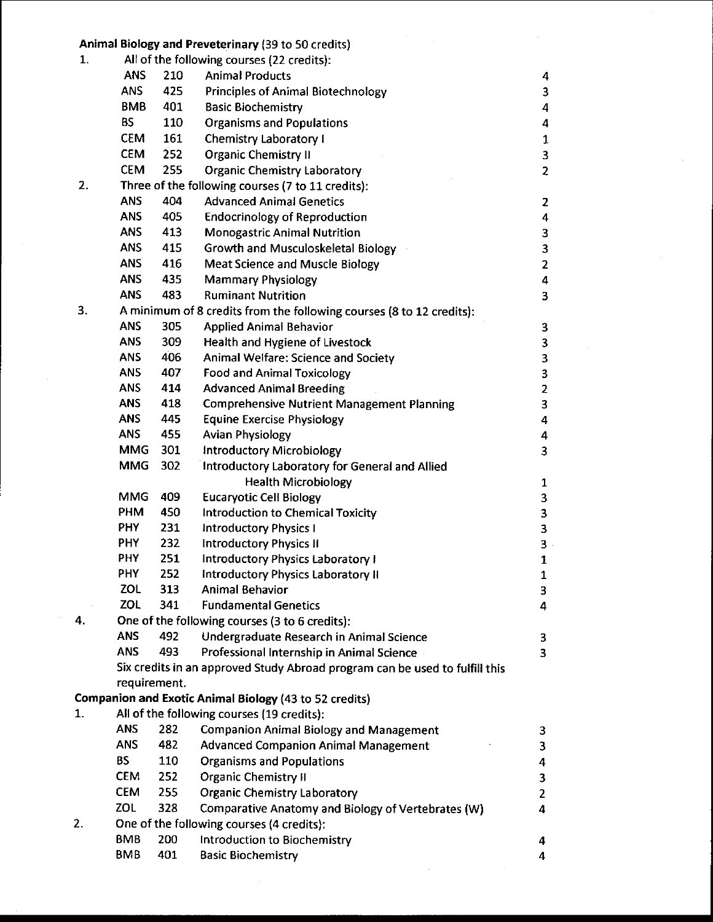| 1. |                          |            | Animal Biology and Preveterinary (39 to 50 credits)<br>All of the following courses (22 credits):           |                              |
|----|--------------------------|------------|-------------------------------------------------------------------------------------------------------------|------------------------------|
|    | <b>ANS</b>               | 210        | <b>Animal Products</b>                                                                                      | 4                            |
|    | <b>ANS</b>               | 425        | <b>Principles of Animal Biotechnology</b>                                                                   | 3                            |
|    | <b>BMB</b>               | 401        | <b>Basic Biochemistry</b>                                                                                   | 4                            |
|    | <b>BS</b>                | 110        | <b>Organisms and Populations</b>                                                                            | 4                            |
|    | <b>CEM</b>               | 161        | <b>Chemistry Laboratory I</b>                                                                               | $\mathbf{1}$                 |
|    | <b>CEM</b>               | 252        | <b>Organic Chemistry II</b>                                                                                 | 3                            |
|    | <b>CEM</b>               | 255        | <b>Organic Chemistry Laboratory</b>                                                                         | $\overline{\mathbf{c}}$      |
| 2. |                          |            | Three of the following courses (7 to 11 credits):                                                           |                              |
|    | <b>ANS</b>               | 404        | <b>Advanced Animal Genetics</b>                                                                             | $\overline{\mathbf{z}}$      |
|    | ANS                      | 405        | <b>Endocrinology of Reproduction</b>                                                                        | 4                            |
|    | <b>ANS</b>               | 413        | <b>Monogastric Animal Nutrition</b>                                                                         | 3                            |
|    | <b>ANS</b>               | 415        | Growth and Musculoskeletal Biology                                                                          | 3                            |
|    | <b>ANS</b>               | 416        | Meat Science and Muscle Biology                                                                             | $\overline{2}$               |
|    | <b>ANS</b>               | 435        | <b>Mammary Physiology</b>                                                                                   | 4                            |
|    | <b>ANS</b>               | 483        | <b>Ruminant Nutrition</b>                                                                                   | 3                            |
| 3. |                          |            | A minimum of 8 credits from the following courses (8 to 12 credits):                                        |                              |
|    | <b>ANS</b>               | 305        | <b>Applied Animal Behavior</b>                                                                              | 3                            |
|    | <b>ANS</b>               | 309        | <b>Health and Hygiene of Livestock</b>                                                                      | 3                            |
|    | ANS                      | 406        | Animal Welfare: Science and Society                                                                         | 3                            |
|    | <b>ANS</b>               | 407        | <b>Food and Animal Toxicology</b>                                                                           | 3                            |
|    | <b>ANS</b>               | 414        | <b>Advanced Animal Breeding</b>                                                                             |                              |
|    | <b>ANS</b>               | 418        | <b>Comprehensive Nutrient Management Planning</b>                                                           | $\overline{\mathbf{c}}$<br>3 |
|    | <b>ANS</b>               | 445        | <b>Equine Exercise Physiology</b>                                                                           | 4                            |
|    | <b>ANS</b>               | 455        | <b>Avian Physiology</b>                                                                                     | 4                            |
|    | <b>MMG</b>               | 301        | <b>Introductory Microbiology</b>                                                                            |                              |
|    | <b>MMG</b>               | 302        | Introductory Laboratory for General and Allied                                                              | 3                            |
|    |                          |            |                                                                                                             |                              |
|    | <b>MMG</b>               | 409        | <b>Health Microbiology</b>                                                                                  | 1                            |
|    | PHM                      | 450        | <b>Eucaryotic Cell Biology</b>                                                                              | 3                            |
|    | <b>PHY</b>               | 231        | Introduction to Chemical Toxicity                                                                           | 3                            |
|    | <b>PHY</b>               | 232        | <b>Introductory Physics I</b><br><b>Introductory Physics II</b>                                             | 3                            |
|    | PHY                      | 251        |                                                                                                             | 3                            |
|    | <b>PHY</b>               | 252        | Introductory Physics Laboratory I<br><b>Introductory Physics Laboratory II</b>                              | 1                            |
|    | ZOL                      | 313        | <b>Animal Behavior</b>                                                                                      | $\mathbf{1}$<br>3            |
|    | ZOL                      | 341        | <b>Fundamental Genetics</b>                                                                                 |                              |
| 4. |                          |            | One of the following courses (3 to 6 credits):                                                              | 4                            |
|    | <b>ANS</b>               | 492        |                                                                                                             |                              |
|    | <b>ANS</b>               | 493        | Undergraduate Research in Animal Science<br>Professional Internship in Animal Science                       | 3                            |
|    |                          |            |                                                                                                             | 3                            |
|    | requirement.             |            | Six credits in an approved Study Abroad program can be used to fulfill this                                 |                              |
|    |                          |            |                                                                                                             |                              |
| 1. |                          |            | <b>Companion and Exotic Animal Biology (43 to 52 credits)</b><br>All of the following courses (19 credits): |                              |
|    |                          |            |                                                                                                             |                              |
|    | <b>ANS</b><br><b>ANS</b> | 282<br>482 | <b>Companion Animal Biology and Management</b>                                                              | 3                            |
|    |                          |            | <b>Advanced Companion Animal Management</b>                                                                 | 3                            |
|    | <b>BS</b>                | 110        | <b>Organisms and Populations</b>                                                                            | 4                            |
|    | <b>CEM</b>               | 252        | <b>Organic Chemistry II</b>                                                                                 | 3                            |
|    | <b>CEM</b>               | 255        | <b>Organic Chemistry Laboratory</b>                                                                         | $\mathbf{2}$                 |
|    | ZOL                      | 328        | Comparative Anatomy and Biology of Vertebrates (W)                                                          | 4                            |
| 2. |                          |            | One of the following courses (4 credits):                                                                   |                              |
|    | <b>BMB</b>               | 200        | Introduction to Biochemistry                                                                                | 4                            |
|    | <b>BMB</b>               | 401        | <b>Basic Biochemistry</b>                                                                                   | 4                            |

 $\hat{\mathcal{A}}$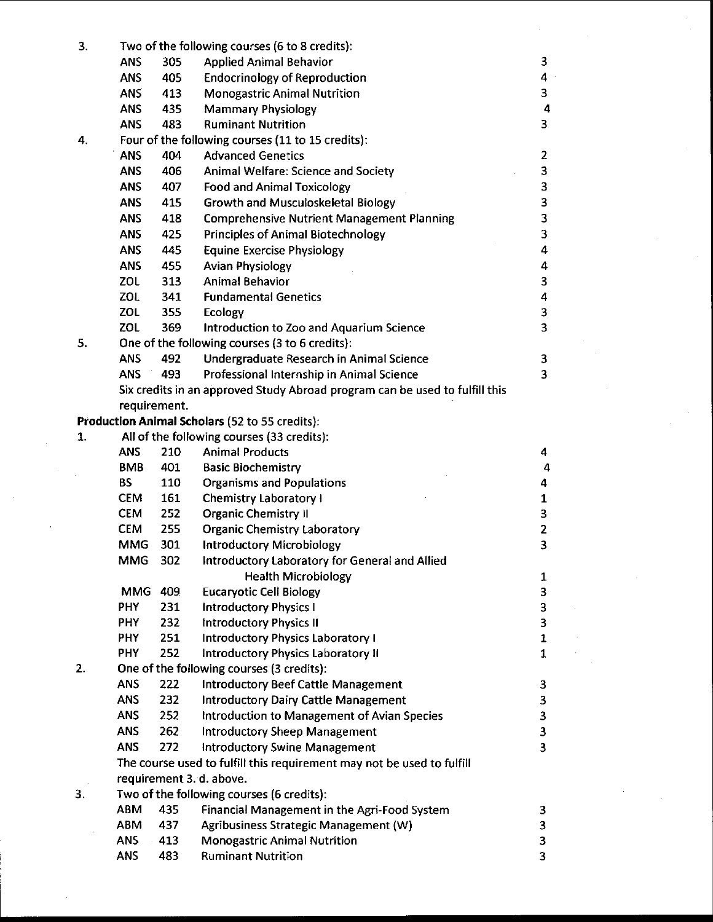| 3.             | Two of the following courses (6 to 8 credits): |     |                                                                             |                         |  |  |
|----------------|------------------------------------------------|-----|-----------------------------------------------------------------------------|-------------------------|--|--|
|                | <b>ANS</b>                                     | 305 | <b>Applied Animal Behavior</b>                                              | 3                       |  |  |
|                | <b>ANS</b>                                     | 405 | <b>Endocrinology of Reproduction</b>                                        | 4                       |  |  |
|                | <b>ANS</b>                                     | 413 | <b>Monogastric Animal Nutrition</b>                                         | 3                       |  |  |
|                | <b>ANS</b>                                     | 435 | <b>Mammary Physiology</b>                                                   | 4                       |  |  |
|                | <b>ANS</b>                                     | 483 | <b>Ruminant Nutrition</b>                                                   | 3                       |  |  |
| 4.             |                                                |     | Four of the following courses (11 to 15 credits):                           |                         |  |  |
|                | <b>ANS</b>                                     | 404 | <b>Advanced Genetics</b>                                                    | $\overline{2}$          |  |  |
|                | <b>ANS</b>                                     | 406 | Animal Welfare: Science and Society                                         | 3                       |  |  |
|                | <b>ANS</b>                                     | 407 | <b>Food and Animal Toxicology</b>                                           | 3                       |  |  |
|                | <b>ANS</b>                                     | 415 | <b>Growth and Musculoskeletal Biology</b>                                   | 3                       |  |  |
|                | <b>ANS</b>                                     | 418 | <b>Comprehensive Nutrient Management Planning</b>                           | 3                       |  |  |
|                | ANS                                            | 425 | <b>Principles of Animal Biotechnology</b>                                   | $\overline{\mathbf{3}}$ |  |  |
|                | <b>ANS</b>                                     | 445 | <b>Equine Exercise Physiology</b>                                           | 4                       |  |  |
|                | <b>ANS</b>                                     | 455 | <b>Avian Physiology</b>                                                     | 4                       |  |  |
|                | ZOL                                            | 313 | <b>Animal Behavior</b>                                                      | 3                       |  |  |
|                | ZOL                                            | 341 | <b>Fundamental Genetics</b>                                                 | 4                       |  |  |
|                | ZOL                                            | 355 | Ecology                                                                     | 3                       |  |  |
|                | ZOL                                            | 369 | Introduction to Zoo and Aquarium Science                                    | 3                       |  |  |
| 5.             |                                                |     | One of the following courses (3 to 6 credits):                              |                         |  |  |
|                | <b>ANS</b>                                     | 492 | Undergraduate Research in Animal Science                                    | 3                       |  |  |
|                | <b>ANS</b>                                     | 493 | Professional Internship in Animal Science                                   | 3                       |  |  |
|                |                                                |     | Six credits in an approved Study Abroad program can be used to fulfill this |                         |  |  |
|                | requirement.                                   |     |                                                                             |                         |  |  |
|                |                                                |     | <b>Production Animal Scholars (52 to 55 credits):</b>                       |                         |  |  |
| $\mathbf{1}$ . |                                                |     | All of the following courses (33 credits):                                  |                         |  |  |
|                | <b>ANS</b>                                     | 210 | <b>Animal Products</b>                                                      | 4                       |  |  |
|                | <b>BMB</b>                                     | 401 | <b>Basic Biochemistry</b>                                                   | 4                       |  |  |
|                | <b>BS</b>                                      | 110 | <b>Organisms and Populations</b>                                            | 4                       |  |  |
|                | <b>CEM</b>                                     | 161 | <b>Chemistry Laboratory I</b>                                               | $\mathbf{1}$            |  |  |
|                | <b>CEM</b>                                     | 252 | <b>Organic Chemistry II</b>                                                 | 3                       |  |  |
|                | <b>CEM</b>                                     | 255 | <b>Organic Chemistry Laboratory</b>                                         | $\overline{\mathbf{2}}$ |  |  |
|                | <b>MMG</b>                                     | 301 | <b>Introductory Microbiology</b>                                            | 3                       |  |  |
|                | <b>MMG</b>                                     | 302 | Introductory Laboratory for General and Allied                              |                         |  |  |
|                |                                                |     | <b>Health Microbiology</b>                                                  | 1                       |  |  |
|                | MMG 409                                        |     | <b>Eucaryotic Cell Biology</b>                                              | 3                       |  |  |
|                | <b>PHY</b>                                     | 231 | <b>Introductory Physics I</b>                                               | 3                       |  |  |
|                | PHY                                            | 232 | <b>Introductory Physics II</b>                                              | 3                       |  |  |
|                | <b>PHY</b>                                     | 251 | Introductory Physics Laboratory I                                           | $\mathbf{1}$            |  |  |
|                | <b>PHY</b>                                     | 252 | Introductory Physics Laboratory II                                          | $\mathbf{1}$            |  |  |
| 2.             |                                                |     | One of the following courses (3 credits):                                   |                         |  |  |
|                | <b>ANS</b>                                     | 222 | <b>Introductory Beef Cattle Management</b>                                  | 3                       |  |  |
|                | <b>ANS</b>                                     | 232 | <b>Introductory Dairy Cattle Management</b>                                 | 3                       |  |  |
|                | <b>ANS</b>                                     | 252 | <b>Introduction to Management of Avian Species</b>                          | 3                       |  |  |
|                | <b>ANS</b>                                     | 262 | <b>Introductory Sheep Management</b>                                        | 3                       |  |  |
|                | <b>ANS</b>                                     | 272 | <b>Introductory Swine Management</b>                                        | 3                       |  |  |
|                |                                                |     | The course used to fulfill this requirement may not be used to fulfill      |                         |  |  |
|                |                                                |     | requirement 3. d. above.                                                    |                         |  |  |
| 3.             |                                                |     | Two of the following courses (6 credits):                                   |                         |  |  |
|                | <b>ABM</b>                                     | 435 | Financial Management in the Agri-Food System                                | 3                       |  |  |
|                | <b>ABM</b>                                     | 437 | Agribusiness Strategic Management (W)                                       | 3                       |  |  |
|                | <b>ANS</b>                                     | 413 | <b>Monogastric Animal Nutrition</b>                                         | 3                       |  |  |
|                | <b>ANS</b>                                     | 483 | <b>Ruminant Nutrition</b>                                                   | 3                       |  |  |
|                |                                                |     |                                                                             |                         |  |  |

 $\mathcal{L}_{\mathrm{in}}$ 

 $\sim$